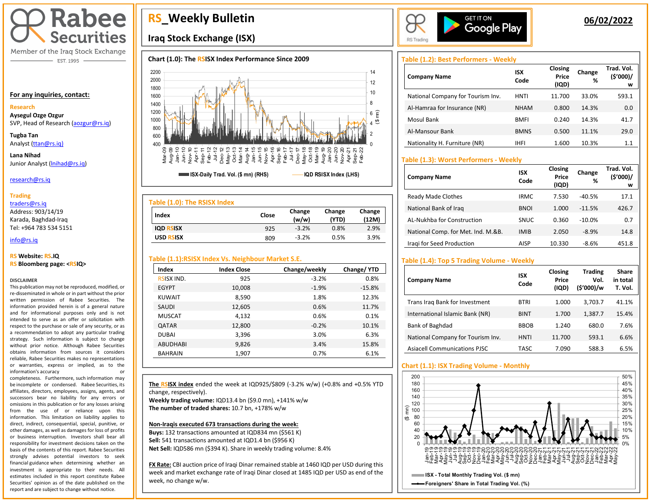

Member of the Iraq Stock Exchange - EST. 1995

#### **For any inquiries, contact:**

#### **Research**

**Aysegul Ozge Ozgur**  SVP, Head of Research [\(aozgur@rs.iq\)](mailto:aozgur@rs.iq)

**Tugba Tan** Analyst [\(ttan@rs.iq\)](mailto:ttan@rs.iq)

**Lana Nihad** Junior Analyst (Inihad@rs.iq)

#### research@rs.iq

#### **Trading**

traders@rs.iq

Address: 903/14/19 Karada, Baghdad-Iraq Tel: +964 783 534 5151

#### info@rs.iq İ

#### **RS Website: RS.IQ RS Bloomberg page: <RSIQ>**

#### **DISCLAIMER**

This publication may not be reproduced, modified, or re-disseminated in whole or in part without the prior written permission of Rabee Securities. The information provided herein is of a general nature and for informational purposes only and is not intended to serve as an offer or solicitation with respect to the purchase or sale of any security, or as a recommendation to adopt any particular trading strategy. Such information is subject to change without prior notice. Although Rabee Securities obtains information from sources it considers reliable, Rabee Securities makes no representations or warranties, express or implied, as to the information's accuracy or

completeness. Furthermore, such information may be incomplete or condensed. Rabee Securities, its affiliates, directors, employees, assigns, agents, and successors bear no liability for any errors or omissions in this publication or for any losses arising from the use of or reliance upon this information. This limitation on liability applies to direct, indirect, consequential, special, punitive, or other damages, as well as damages for loss of profits or business interruption. Investors shall bear all responsibility for investment decisions taken on the basis of the contents of this report. Rabee Securities strongly advises potential investors to seek financial guidance when determining whether an investment is appropriate to their needs. All estimates included in this report constitute Rabee Securities' opinion as of the date published on the report and are subject to change without notice.

I

# **RS\_Weekly Bulletin**

## **Iraq Stock Exchange (ISX)**

## **Chart (1.0): The RSISX Index Performance Since 2009**



| Table (1.0): The RSISX Index |       |                 |                 |                 |
|------------------------------|-------|-----------------|-----------------|-----------------|
| Index                        | Close | Change<br>(w/w) | Change<br>(YTD) | Change<br>(12M) |
| <b>IQD RSISX</b>             | 925   | $-3.2%$         | 0.8%            | 2.9%            |
| <b>USD RSISX</b>             | 809   | $-3.2%$         | 0.5%            | 3.9%            |

## **Table (1.1):RSISX Index Vs. Neighbour Market S.E.**

| Index             | <b>Index Close</b> | Change/weekly | Change/YTD |
|-------------------|--------------------|---------------|------------|
| <b>RSISX IND.</b> | 925                | $-3.2%$       | 0.8%       |
| <b>EGYPT</b>      | 10,008             | $-1.9%$       | $-15.8%$   |
| <b>KUWAIT</b>     | 8,590              | 1.8%          | 12.3%      |
| SAUDI             | 12,605             | 0.6%          | 11.7%      |
| <b>MUSCAT</b>     | 4,132              | 0.6%          | 0.1%       |
| <b>QATAR</b>      | 12,800             | $-0.2%$       | 10.1%      |
| <b>DUBAI</b>      | 3,396              | 3.0%          | 6.3%       |
| <b>ABUDHABI</b>   | 9,826              | 3.4%          | 15.8%      |
| <b>BAHRAIN</b>    | 1,907              | 0.7%          | 6.1%       |

**The RSISX index** ended the week at IQD925/\$809 (-3.2% w/w) (+0.8% and +0.5% YTD change, respectively). **Weekly trading volume:** IQD13.4 bn (\$9.0 mn), +141% w/w

**The number of traded shares:** 10.7 bn, +178% w/w

### **Non-Iraqis executed 673 transactions during the week:**

**Buys:** 132 transactions amounted at IQD834 mn (\$561 K) **Sell:** 541 transactions amounted at IQD1.4 bn (\$956 K) **Net Sell:** IQD586 mn (\$394 K). Share in weekly trading volume: 8.4%

**FX Rate:** CBI auction price of Iraqi Dinar remained stable at 1460 IQD per USD during this week and market exchange rate of Iraqi Dinar closed at 1485 IQD per USD as end of the week, no change w/w.



## **06/02/2022**

## **Table (1.2): Best Performers - Weekly**

| <b>Company Name</b>               | ISX<br>Code | Closing<br>Price<br>(IQD) | Change<br>% | Trad. Vol.<br>(5'000)/<br>w |
|-----------------------------------|-------------|---------------------------|-------------|-----------------------------|
| National Company for Tourism Inv. | HNTI        | 11.700                    | 33.0%       | 593.1                       |
| Al-Hamraa for Insurance (NR)      | <b>NHAM</b> | 0.800                     | 14.3%       | 0.0                         |
| Mosul Bank                        | <b>BMFI</b> | 0.240                     | 14.3%       | 41.7                        |
| Al-Mansour Bank                   | <b>BMNS</b> | 0.500                     | 11.1%       | 29.0                        |
| Nationality H. Furniture (NR)     | <b>IHFI</b> | 1.600                     | 10.3%       | 1.1                         |

## **Table (1.3): Worst Performers - Weekly**

| <b>Company Name</b>                | <b>ISX</b><br>Code | Closing<br>Price<br>(IQD) | Change<br>% | Trad. Vol.<br>(5'000)/<br>w |
|------------------------------------|--------------------|---------------------------|-------------|-----------------------------|
| Ready Made Clothes                 | <b>IRMC</b>        | 7.530                     | $-40.5%$    | 17.1                        |
| National Bank of Iraq              | <b>BNOI</b>        | 1.000                     | $-11.5%$    | 426.7                       |
| AL-Nukhba for Construction         | <b>SNUC</b>        | 0.360                     | $-10.0%$    | 0.7                         |
| National Comp. for Met. Ind. M.&B. | <b>IMIB</b>        | 2.050                     | $-8.9%$     | 14.8                        |
| Iragi for Seed Production          | <b>AISP</b>        | 10.330                    | $-8.6%$     | 451.8                       |

## **Table (1.4): Top 5 Trading Volume - Weekly**

| <b>Company Name</b>                 | <b>ISX</b><br>Code | Closing<br>Price<br>(IQD) | <b>Trading</b><br>Vol.<br>(\$'000)/w | Share<br>in total<br>T. Vol. |
|-------------------------------------|--------------------|---------------------------|--------------------------------------|------------------------------|
| Trans Irag Bank for Investment      | <b>BTRI</b>        | 1.000                     | 3,703.7                              | 41.1%                        |
| International Islamic Bank (NR)     | <b>BINT</b>        | 1.700                     | 1,387.7                              | 15.4%                        |
| Bank of Baghdad                     | <b>BBOB</b>        | 1.240                     | 680.0                                | 7.6%                         |
| National Company for Tourism Inv.   | <b>HNTI</b>        | 11.700                    | 593.1                                | 6.6%                         |
| <b>Asiacell Communications PJSC</b> | TASC               | 7.090                     | 588.3                                | 6.5%                         |

## **Chart (1.1): ISX Trading Volume - Monthly**

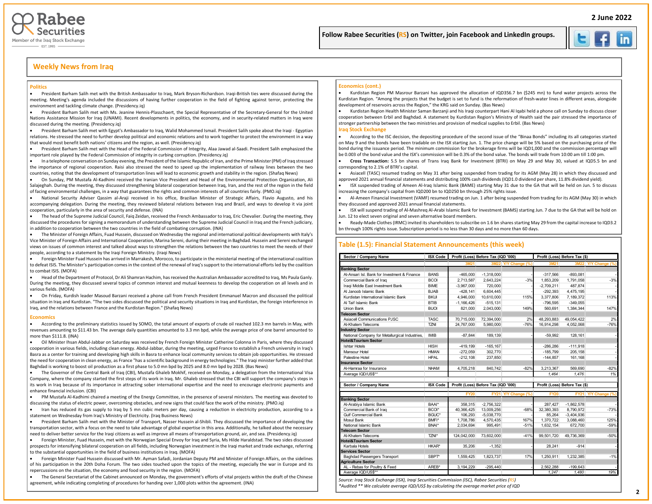



## **Weekly News from Iraq**

#### **Politics**

• President Barham Salih met with the British Ambassador to Iraq, Mark Bryson-Richardson. Iraqi-British ties were discussed during the meeting. Meeting's agenda included the discussions of having further cooperation in the field of fighting against terror, protecting the environment and tackling climate change. (Presidency.iq)

• President Barham Salih met with Ms. Jeanine Hennis-Plasschaert, the Special Representative of the Secretary-General for the United Nations Assistance Mission for Iraq (UNAMI). Recent developments in politics, the economy, and in security-related matters in Iraq were discussed during the meeting. (Presidency.iq)

• President Barham Salih met with Egypt's Ambassador to Iraq, Walid Mohammed Ismail. President Salih spoke about the Iraqi - Egyptian relations. He stressed the need to further develop political and economic relations and to work together to protect the environment in a way that would most benefit both nations' citizens and the region, as well. (Presidency.iq)

• President Barham Salih met with the Head of the Federal Commission of Integrity, Alaa Jawad al-Saadi. President Salih emphasized the important role played by the Federal Commission of integrity in curbing corruption. (Presidency.iq)

• In a telephone conversation on Sunday evening, the President of the Islamic Republic of Iran, and the Prime Minister (PM) of Iraq stressed the importance of regional cooperation. Raisi also stressed the need to speed up the implementation of railway lines between the two countries, noting that the development of transportation lines will lead to economic growth and stability in the region. (Shafaq News)

• On Sunday, PM Mustafa Al-Kadhimi received the Iranian Vice President and Head of the Environmental Protection Organization, Ali Salajeghah. During the meeting, they discussed strengthening bilateral cooperation between Iraq, Iran, and the rest of the region in the field of facing environmental challenges, in a way that guarantees the rights and common interests of all countries fairly. (PMO.iq)

• National Security Adviser Qassim al-Araji received in his office, Brazilian Minister of Strategic Affairs, Flavio Augusto, and his accompanying delegation. During the meeting, they reviewed bilateral relations between Iraq and Brazil, and ways to develop it via joint cooperation, particularly in the area of security and defense. (INA)

• The head of the Supreme Judicial Council, Faiq Zeidan, received the French Ambassador to Iraq, Eric Chevalier. During the meeting, they discussed the procedures for signing a memorandum of understanding between the Supreme Judicial Council in Iraq and the French judiciary, in addition to cooperation between the two countries in the field of combating corruption. (INA)

• The Minister of Foreign Affairs, Fuad Hussein, discussed on Wednesday the regional and international political developments with Italy's Vice Minister of Foreign Affairs and International Cooperation, Marina Sereni, during their meeting in Baghdad. Hussein and Sereni exchanged views on issues of common interest and talked about ways to strengthen the relations between the two countries to meet the needs of their people, according to a statement by the Iraqi Foreign Ministry. (Iraqi News)

• Foreign Minister Fuad Hussein has arrived in Marrakesh, Morocco, to participate in the ministerial meeting of the international coalition to defeat ISIS. The Minister's participation comes in the context of the renewal of Iraq's support to the international efforts led by the coalition to combat ISIS. (MOFA)

• Head of the Department of Protocol, Dr Ali Shamran Hachim, has received the Australian Ambassador accredited to Iraq, Ms Paula Ganly. During the meeting, they discussed several topics of common interest and mutual keenness to develop the cooperation on all levels and in various fields. (MOFA)

• On Friday, Kurdish leader Masoud Barzani received a phone call from French President Emmanuel Macron and discussed the political situation in Iraq and Kurdistan. "The two sides discussed the political and security situations in Iraq and Kurdistan, the foreign interference in Iraq, and the relations between France and the Kurdistan Region." (Shafaq News)

#### **Economics**

• According to the preliminary statistics issued by SOMO, the total amount of exports of crude oil reached 102.3 mn barrels in May, with revenues amounting to \$11.43 bn. The average daily quantities amounted to 3.3 mn bpd, while the average price of one barrel amounted to more than \$111.8. (INA)

• Oil Minister Ihsan Abdul-Jabbar on Saturday was received by French Foreign Minister Catherine Colonna in Paris, where they discussed cooperation in various fields, including clean energy. Abdul-Jabbar, during the meeting, urged France to establish a French university in Iraq's Basra as a center for training and developing high skills in Basra to enhance local community services to obtain job opportunities. He stressed the need for cooperation in clean energy, as France "has a scientific background in energy technologies." The Iraqi minister further added that Baghdad is working to boost oil production as a first phase to 5.0 mn bpd by 2025 and 8.0 mn bpd by 2028. (Bas News)

• The Governor of the Central Bank of Iraq (CBI), Mustafa Ghaleb Mokhif, received on Monday, a delegation from the International Visa Company, where the company started the first steps of its work in Iraq. Mr. Ghaleb stressed that the CBI will support the company's steps in its work in Iraq because of its importance in attracting sober international expertise and the need to encourage electronic payments and enhance financial inclusion. (CBI)

• PM Mustafa Al-Kadhimi chaired a meeting of the Energy Committee, in the presence of several ministers. The meeting was devoted to discussing the status of electric power, overcoming obstacles, and new signs that could face the work of the ministry. (PMO.iq)

• Iran has reduced its gas supply to Iraq by 5 mn cubic meters per day, causing a reduction in electricity production, according to a statement on Wednesday from Iraq's Ministry of Electricity. (Iraq Business News)

• President Barham Salih met with the Minister of Transport, Nasser Hussein al-Shibli. They discussed the importance of developing the transportation sector, with a focus on the need to take advantage of global expertise in this area. Additionally, he talked about the necessary need to deliver better service for the Iraqi citizens as well as improve all means of transportation ground, air, and sea. (Presidency.iq)

• Foreign Minister, Fuad Hussein, met with the Norwegian Special Envoy for Iraq and Syria, Ms Hilde Haraldstad. The two sides discussed prospects for intensifying bilateral cooperation on all fields, including Norwegian investment in the Iraqi market and trade exchange, referring to the substantial opportunities in the field of business institutions in Iraq. (MOFA)

• Foreign Minister Fuad Hussein discussed with Mr. Ayman Safadi, Jordanian Deputy PM and Minister of Foreign Affairs, on the sidelines of his participation in the 20th Doha Forum. The two sides touched upon the topics of the meeting, especially the war in Europe and its repercussions on the situation, the economy and food security in the region. (MOFA)

• The General Secretariat of the Cabinet announced on Monday, the government's efforts of vital projects within the draft of the Chinese agreement, while indicating completing of procedures for handing over 1,000 plots within the agreement. (INA)

#### **Economics (cont.)**

• Kurdistan Region PM Masrour Barzani has approved the allocation of IQD356.7 bn (\$245 mn) to fund water projects across the Kurdistan Region. "Among the projects that the budget is set to fund is the reformation of fresh-water lines in different areas, alongside development of reservoirs across the Region," the KRG said on Sunday. (Bas News)

İ

 $\overline{\phantom{a}}$ 

• Kurdistan Region Health Minister Saman Barzanji and his Iraqi counterpart Hani Al Iqabi held a phone call on Sunday to discuss closer cooperation between Erbil and Baghdad. A statement by Kurdistan Region's Ministry of Health said the pair stressed the importance of stronger partnership between the two ministries and provision of medical supplies to Erbil. (Bas News)

#### **Iraq Stock Exchange**

• According to the ISC decision, the depositing procedure of the second issue of the "Binaa Bonds" including its all categories started on May 9 and the bonds have been tradable on the ISX starting Jun. 1. The price change will be 5% based on the purchasing price of the bond during the issuance period. The minimum commission for the brokerage firms will be IQD1,000 and the commission percentage will be 0.003 of the bond value and the ISX's commission will be 0.3% of the bond value. The bonds will trade from 10:00 am till 1:00 pm.

• **Cross Transaction:** 5.5 bn shares of Trans Iraq Bank for Investment (BTRI) on May 29 and May 30, valued at IQD5.5 bn and corresponding to 2.1% of BTRI's capital.

• Asiacell (TASC) resumed trading on May 31 after being suspended from trading for its AGM (May 28) in which they discussed and approved 2021 annual financial statements and distributing 100% cash dividends (IQD1.0 dividend per share, 11.8% dividend yield).

• ISX suspended trading of Ameen Al-Iraq Islamic Bank (BAME) starting May 31 due to the GA that will be held on Jun. 5 to discuss increasing the company's capital from IQD200 bn to IQD250 bn through 25% rights issue.

• Al-Ameen Financial Investment (VAMF) resumed trading on Jun. 1 after being suspended from trading for its AGM (May 30) in which they discussed and approved 2021 annual financial statements.

• ISX will suspend trading of Al-Mashreq Al-Arabi Islamic Bank for Investment (BAMS) starting Jun. 7 due to the GA that will be hold on Jun. 12 to elect seven original and seven alternative board members.

• Ready-Made Clothes (IRMC) invited its shareholders to subscribe on 1.6 bn shares starting May 29 from the capital increase to IQD3.2 bn through 100% rights issue. Subscription period is no less than 30 days and no more than 60 days.

#### **Table (1.5): Financial Statement Announcements (this week)**

| Sector / Company Name                          | <b>ISX Code</b> | Profit (Loss) Before Tax (IQD '000) |              |                     |              | Profit (Loss) Before Tax (\$) |                     |  |  |  |
|------------------------------------------------|-----------------|-------------------------------------|--------------|---------------------|--------------|-------------------------------|---------------------|--|--|--|
|                                                |                 | 3M21                                |              | 3M22 Y/Y Change (%) | 3M21         |                               | 3M22 Y/Y Change (%) |  |  |  |
| <b>Banking Sector</b>                          |                 |                                     |              |                     |              |                               |                     |  |  |  |
| Al-Ansari Isl. Bank for Investment & Finance   | <b>BANS</b>     | $-465,000$                          | $-1,318,000$ |                     | $-317,566$   | $-893,081$                    |                     |  |  |  |
| Commercial Bank of Iraq                        | <b>BCOI</b>     | 2,713,587                           | 2,643,224    | $-3%$               | 1,853,209    | 1,791,058                     | $-3%$               |  |  |  |
| Iraqi Middle East Investment Bank              | <b>BIME</b>     | $-3,967,000$                        | 720,000      |                     | $-2,709,211$ | 487,874                       |                     |  |  |  |
| Al Janoob Islamic Bank                         | <b>BJAB</b>     | $-428.141$                          | 6.604.445    |                     | $-292.393$   | 4.475.195                     |                     |  |  |  |
| Kurdistan International Islamic Bank           | <b>BKUI</b>     | 4,946,000                           | 10,610,000   | 115%                | 3,377,806    | 7,189,372                     | 113%                |  |  |  |
| Al Taif Islamic Bank                           | <b>BTIB</b>     | $-1,166,426$                        | $-515, 131$  |                     | $-796,595$   | $-349.055$                    |                     |  |  |  |
| Union Bank                                     | <b>BUOI</b>     | 821.000                             | 2,043,000    | 149%                | 560.691      | 1,384,344                     | 147%                |  |  |  |
| <b>Telecom Sector</b>                          |                 |                                     |              |                     |              |                               |                     |  |  |  |
| Asiacell Communications PJSC                   | <b>TASC</b>     | 70.715.000                          | 72,394,000   | 2%                  | 48.293.883   | 49.054.422                    | 2%                  |  |  |  |
| Al-Khatem Telecoms                             | <b>TZNI</b>     | 24,767,000                          | 5,980,000    | $-76%$              | 16,914,298   | 4,052,068                     | $-76%$              |  |  |  |
| <b>Industry Sector</b>                         |                 |                                     |              |                     |              |                               |                     |  |  |  |
| National Company for Metallurgical Industries, | <b>IMIB</b>     | $-87.844$                           | 189.139      |                     | $-59.992$    | 128.161                       |                     |  |  |  |
| <b>Hotel&amp;Tourism Sector</b>                |                 |                                     |              |                     |              |                               |                     |  |  |  |
| <b>Ishtar Hotels</b>                           | <b>HISH</b>     | $-419.199$                          | $-165.167$   |                     | $-286.286$   | $-111.918$                    |                     |  |  |  |
| Mansour Hotel                                  | <b>HMAN</b>     | $-272.059$                          | 302.770      |                     | $-185.799$   | 205.158                       |                     |  |  |  |
| Palestine Hotel                                | <b>HPAL</b>     | $-212,108$                          | 237,850      |                     | $-144,857$   | 161,168                       |                     |  |  |  |
| <b>Insurance Sector</b>                        |                 |                                     |              |                     |              |                               |                     |  |  |  |
| Al-Hamraa for Insurance                        | <b>NHAM</b>     | 4,705,218                           | 840,742      | $-82%$              | 3,213,367    | 569,690                       | $-82%$              |  |  |  |
| Average IQD/US\$**                             |                 |                                     |              |                     | 1.464        | 1.476                         | 1%                  |  |  |  |
|                                                |                 |                                     |              |                     |              |                               |                     |  |  |  |
| Sector / Company Name                          | <b>ISX Code</b> | Profit (Loss) Before Tax (IQD '000) |              |                     |              | Profit (Loss) Before Tax (\$) |                     |  |  |  |
|                                                |                 | <b>FY20</b>                         |              | FY21 Y/Y Change (%) | <b>FY20</b>  |                               | FY21 Y/Y Change (%  |  |  |  |
| <b>Banking Sector</b>                          |                 |                                     |              |                     |              |                               |                     |  |  |  |
| Al-Arabiya Islamic Bank                        | BAAI*           | 358.315                             | $-2.756.322$ |                     | 287,427      | $-1.862.578$                  |                     |  |  |  |
| Commercial Bank of Iraq                        | BCOI*           | 40,366,425                          | 13,009,256   | $-68%$              | 32,380,393   | 8,790,972                     | $-73%$              |  |  |  |
| <b>Gulf Commercial Bank</b>                    | BGUC*           | 106,293                             | $-5,038,770$ |                     | 85,264       | $-3,404,936$                  |                     |  |  |  |
| Mosul Bank                                     | BMFI*           | 1.708.786                           | 4.570.435    | 167%                | 1.370.722    | 3,088,460                     | 125%                |  |  |  |
| National Islamic Bank                          | BNAI*           | 2,034,694                           | 995.491      | $-51%$              | 1,632,154    | 672,700                       | $-59%$              |  |  |  |
| <b>Telecom Sector</b>                          |                 |                                     |              |                     |              |                               |                     |  |  |  |
| Al-Khatem Telecoms                             | TZNI*           | 124.042.000                         | 73.602.000   | $-41%$              | 99.501.720   | 49.736.369                    | $-50%$              |  |  |  |
| <b>Hotel&amp;Tourism Sector</b>                |                 |                                     |              |                     |              |                               |                     |  |  |  |
| Karbala Hotels                                 | HKAR*           | 35,206                              | $-1,352$     |                     | 28,241       | $-914$                        |                     |  |  |  |
| <b>Services Sector</b>                         |                 |                                     |              |                     |              |                               |                     |  |  |  |
| <b>Baghdad Passengers Transport</b>            | SBPT*           | 1,559,425                           | 1,823,737    | 17%                 | 1.250.911    | 1,232,385                     | $-1%$               |  |  |  |
| <b>Agriculture Sector</b>                      |                 |                                     |              |                     |              |                               |                     |  |  |  |
| AL - Rebas for Poultry & Feed                  | AREB*           | 3,194,229                           | $-295,440$   |                     | 2,562,288    | $-199,643$                    |                     |  |  |  |
| Average IQD/US\$**                             |                 |                                     |              |                     | 1.247        | 1.480                         | 19%                 |  |  |  |

*Source: Iraq Stock Exchange (ISX), Iraqi Securities Commission (ISC), Rabee Securities (RS)*

*\*Audited \*\* We calculate average IQD/US\$ by calculating the average market price of IQD*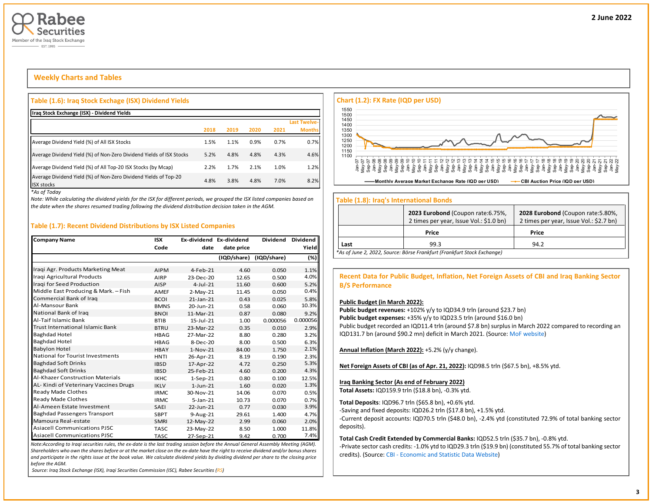

## **Weekly Charts and Tables**

#### **Table (1.6): Iraq Stock Exchage (ISX) Dividend Yields**

| Iraq Stock Exchange (ISX) - Dividend Yields                                           |      |      |      |      |                     |
|---------------------------------------------------------------------------------------|------|------|------|------|---------------------|
|                                                                                       |      |      |      |      | <b>Last Twelve-</b> |
|                                                                                       | 2018 | 2019 | 2020 | 2021 | <b>Months</b>       |
| Average Dividend Yield (%) of All ISX Stocks                                          | 1.5% | 1.1% | 0.9% | 0.7% | 0.7%                |
| Average Dividend Yield (%) of Non-Zero Dividend Yields of ISX Stocks                  | 5.2% | 4.8% | 4.8% | 4.3% | 4.6%                |
| Average Dividend Yield (%) of All Top-20 ISX Stocks (by Mcap)                         | 2.2% | 1.7% | 2.1% | 1.0% | 1.2%                |
| Average Dividend Yield (%) of Non-Zero Dividend Yields of Top-20<br><b>ISX stocks</b> | 4.8% | 3.8% | 4.8% | 7.0% | 8.2%                |

*\*As of Today*

*Note: While calculating the dividend yields for the ISX for different periods, we grouped the ISX listed companies based on the date when the shares resumed trading following the dividend distribution decision taken in the AGM.* 

## **Table (1.7): Recent Dividend Distributions by ISX Listed Companies**

| <b>Company Name</b>                     | <b>ISX</b>  | Ex-dividend Ex-dividend |             | <b>Dividend</b> | Dividend I |
|-----------------------------------------|-------------|-------------------------|-------------|-----------------|------------|
|                                         | Code        | date                    | date price  |                 | Yield      |
|                                         |             |                         | (IQD/share) | (IQD/share)     | (%)        |
| Iraqi Agr. Products Marketing Meat      | <b>AIPM</b> | 4-Feb-21                | 4.60        | 0.050           | 1.1%       |
| Iragi Agricultural Products             | AIRP        | 23-Dec-20               | 12.65       | 0.500           | 4.0%       |
| Iragi for Seed Production               | <b>AISP</b> | $4$ -Jul-21             | 11.60       | 0.600           | 5.2%       |
| Middle East Producing & Mark. - Fish    | AMEF        | $2-May-21$              | 11.45       | 0.050           | 0.4%       |
| Commercial Bank of Iraq                 | <b>BCOI</b> | $21$ -Jan- $21$         | 0.43        | 0.025           | 5.8%       |
| Al-Mansour Bank                         | <b>BMNS</b> | 20-Jun-21               | 0.58        | 0.060           | 10.3%      |
| National Bank of Iraq                   | <b>BNOI</b> | 11-Mar-21               | 0.87        | 0.080           | 9.2%       |
| Al-Taif Islamic Bank                    | <b>BTIB</b> | 15-Jul-21               | 1.00        | 0.000056        | 0.000056   |
| <b>Trust International Islamic Bank</b> | <b>BTRU</b> | 23-Mar-22               | 0.35        | 0.010           | 2.9%       |
| <b>Baghdad Hotel</b>                    | <b>HBAG</b> | 27-Mar-22               | 8.80        | 0.280           | 3.2%       |
| <b>Baghdad Hotel</b>                    | <b>HBAG</b> | 8-Dec-20                | 8.00        | 0.500           | 6.3%       |
| <b>Babylon Hotel</b>                    | <b>HBAY</b> | $1-Nov-21$              | 84.00       | 1.750           | 2.1%       |
| National for Tourist Investments        | <b>HNTI</b> | 26-Apr-21               | 8.19        | 0.190           | 2.3%       |
| <b>Baghdad Soft Drinks</b>              | <b>IBSD</b> | 17-Apr-22               | 4.72        | 0.250           | 5.3%       |
| <b>Baghdad Soft Drinks</b>              | <b>IBSD</b> | 25-Feb-21               | 4.60        | 0.200           | 4.3%       |
| <b>Al-Khazer Construction Materials</b> | <b>IKHC</b> | $1-Sep-21$              | 0.80        | 0.100           | 12.5%      |
| AL-Kindi of Veterinary Vaccines Drugs   | <b>IKLV</b> | $1$ -Jun- $21$          | 1.60        | 0.020           | 1.3%       |
| Ready Made Clothes                      | <b>IRMC</b> | 30-Nov-21               | 14.06       | 0.070           | 0.5%       |
| Ready Made Clothes                      | <b>IRMC</b> | $5 - Jan - 21$          | 10.73       | 0.070           | 0.7%       |
| Al-Ameen Estate Investment              | <b>SAEI</b> | 22-Jun-21               | 0.77        | 0.030           | 3.9%       |
| <b>Baghdad Passengers Transport</b>     | <b>SBPT</b> | 9-Aug-21                | 29.61       | 1.400           | 4.7%       |
| Mamoura Real-estate                     | <b>SMRI</b> | 12-May-22               | 2.99        | 0.060           | 2.0%       |
| <b>Asiacell Communications PJSC</b>     | <b>TASC</b> | 23-May-22               | 8.50        | 1.000           | 11.8%      |
| <b>Asiacell Communications PJSC</b>     | <b>TASC</b> | 27-Sep-21               | 9.42        | 0.700           | 7.4%       |

*Note:According to Iraqi securities rules, the ex-date is the last trading session before the Annual General Assembly Meeting (AGM). Shareholders who own the shares before or at the market close on the ex-date have the right to receive dividend and/or bonus shares and participate in the rights issue at the book value. We calculate dividend yields by dividing dividend per share to the closing price before the AGM.*

*Source: Iraq Stock Exchange (ISX), Iraqi Securities Commission (ISC), Rabee Securities (RS)*



#### **Table (1.8): Iraq's International Bonds**

|                | 2023 Eurobond (Coupon rate: 6.75%,<br>2 times per year, Issue Vol.: \$1.0 bn) | 2028 Eurobond (Coupon rate: 5.80%,<br>2 times per year, Issue Vol.: \$2.7 bn) |  |  |  |  |  |  |  |  |  |  |
|----------------|-------------------------------------------------------------------------------|-------------------------------------------------------------------------------|--|--|--|--|--|--|--|--|--|--|
| Price<br>Price |                                                                               |                                                                               |  |  |  |  |  |  |  |  |  |  |
| Last           | 99.3                                                                          | 94.2                                                                          |  |  |  |  |  |  |  |  |  |  |
|                | *As of June 2, 2022, Source: Börse Frankfurt (Frankfurt Stock Exchange)       |                                                                               |  |  |  |  |  |  |  |  |  |  |

**Recent Data for Public Budget, Inflation, Net Foreign Assets of CBI and Iraq Banking Sector B/S Performance**

#### **Public Budget (in March 2022):**

Public budget revenues: +102% y/y to IQD34.9 trln (around \$23.7 bn) Public budget expenses: +35% y/y to IQD23.5 trln (around \$16.0 bn) Public budget recorded an IQD11.4 trln (around \$7.8 bn) surplus in March 2022 compared to recording an IQD131.7 bn (around \$90.2 mn) deficit in March 2021. (Source[: MoF website\)](http://mof.gov.iq/obs/ar/Pages/obsDocuments.aspx)

**Annual Inflation (March 2022):** +5.2% (y/y change).

**Net Foreign Assets of CBI (as of Apr. 21, 2022):** IQD98.5 trln (\$67.5 bn), +8.5% ytd.

#### **Iraq Banking Sector (As end of February 2022)**

**Total Assets:** IQD159.9 trln (\$18.8 bn), -0.3% ytd.

**Total Deposits**: IQD96.7 trln (\$65.8 bn), +0.6% ytd.

-Saving and fixed deposits: IQD26.2 trln (\$17.8 bn), +1.5% ytd.

-Current deposit accounts: IQD70.5 trln (\$48.0 bn), -2.4% ytd (constituted 72.9% of total banking sector deposits).

**Total Cash Credit Extended by Commercial Banks:** IQD52.5 trln (\$35.7 bn), -0.8% ytd.

-Private sector cash credits: -1.0% ytd to IQD29.3 trln (\$19.9 bn) (constituted 55.7% of total banking sector credits). (Source: CBI - [Economic and Statistic Data Website\)](https://cbiraq.org/)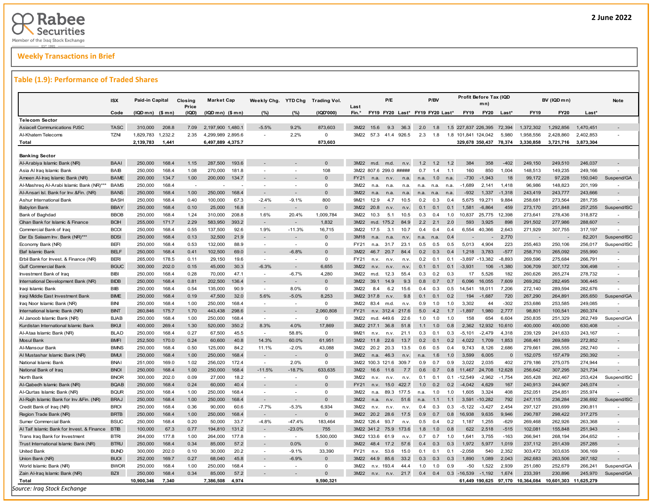## **Weekly Transactions in Brief**

#### **Table (1.9): Performance of Traded Shares**

| $(IQDmn)$ (\$ mn)<br>(IQD)<br>$(IQDmn)$ $($mn)$<br>(IQD'000)<br>Fin.*<br>FY19 FY20 Last* FY19 FY20 Last*<br><b>FY19</b><br><b>FY20</b><br><b>FY19</b><br><b>FY20</b><br>Last*<br>Code<br>(%)<br>(%)<br>Last<br><b>Telecom Sector</b><br>2,197,900 1,480.1<br>873,603<br>9.3<br>36.3<br>2.0<br><b>Asiacell Communications PJSC</b><br><b>TASC</b><br>310,000<br>208.8<br>7.09<br>$-5.5%$<br>9.2%<br>3M22<br>15.6<br>1.8<br>1.5 227.837 226.395<br>72.394<br>1,372,302<br>.292.856<br>1,470,451<br><b>TZNI</b><br>1,829,783<br>1,232.2<br>2.35<br>4,299,989 2,895.6<br>2.2%<br>$\mathbf 0$<br>3M22<br>57.3 41.4 926.5<br>2.3<br>1.8<br>5,980<br>1,958,556<br>2,402,853<br>Al-Khatem Telecoms<br>1.8 101,841 124,042<br>2,428,860<br>$\sim$<br>873,603<br>Total<br>2,139,783<br>1,441<br>6,497,889 4,375.7<br>329,678 350,437 78,374<br>3,330,858<br>3,721,716<br>3,873,304<br><b>Banking Sector</b><br><b>BAAI</b><br>250,000<br>168.4<br>1.15<br>287,500<br>193.6<br>$\Omega$<br>3M22<br>1.2<br>1.2<br>384<br>358<br>$-402$<br>249,150<br>249,510<br>246,037<br>Al-Arabiya Islamic Bank (NR)<br>m.d.<br>m.d.<br>12<br>n.v.<br>108<br><b>BAIB</b><br>250,000<br>168.4<br>1.08<br>270,000<br>181.8<br>3M22 807.6 299.0 #####<br>0.7<br>1.4<br>1.1<br>160<br>850<br>1,004<br>148,513<br>149,235<br>249,166<br>Asia Al Iraq Islamic Bank<br><b>BAME</b><br>$\Omega$<br>200,000<br>134.7<br>1.00<br>200,000<br>134.7<br>FY21<br>$-730$<br>$-1.943$<br>99,172<br>97,228<br>150,040<br>Ameen Al-Iraq Islamic Bank (NR)<br>1.0<br>18<br>n.a.<br>n.v<br>n.a.<br>n.a.<br>n.a.<br>168.4<br>Al-Mashreq Al-Arabi Islamic Bank (NR)***<br><b>BAMS</b><br>250,000<br>$\Omega$<br>3M22<br>$-1,689$<br>2,141<br>1,418<br>96,986<br>148,823<br>201,199<br>n.a.<br>n.a.<br>n.a.<br>n.a.<br>n.a.<br>n.a.<br><b>BANS</b><br>250,000<br>168.4<br>1.00<br>250,000<br>168.4<br>$\Omega$<br>3M22<br>243,777<br>243,666<br>$-932$<br>1,337<br>$-1,318$<br>243,419<br>Al-Ansari Isl. Bank for Inv.&Fin. (NR)<br>$\sim$<br>$\overline{a}$<br>n <sub>a</sub><br>n.a<br>n.a.<br>n.a.<br>n.a.<br>n.a.<br>Ashur International Bank<br><b>BASH</b><br>250,000<br>168.4<br>0.40<br>100,000<br>67.3<br>$-2.4%$<br>$-9.1%$<br>800<br>9M21<br>12.9<br>4.7<br>10.5<br>0.2<br>0.3<br>0.4<br>19.271<br>9,884<br>258,681<br>273,564<br>281,735<br>5.675<br><b>BBAY</b><br><b>Babylon Bank</b><br>250,000<br>168.4<br>0.10<br>25,000<br>16.8<br>$\Omega$<br>3M22<br>20.8<br>0.1<br>0.1<br>0.1<br>1.581<br>$-6,864$<br>459<br>273,170<br>251,848<br>257,255<br>n.v<br>n.v.<br><b>BBOB</b><br>168.4<br>1.6%<br>1,009,784<br>278,436<br>250,000<br>1.24<br>310,000<br>208.8<br>20.4%<br>3M22<br>5.1<br>10.5<br>25,775<br>12,398<br>273,641<br>318,872<br>Bank of Baghdad<br>10.3<br>0.3<br>0.4<br>1.0<br>10,837<br><b>BCIH</b><br>171.7<br>1.832<br>2.2<br>291,502<br>Cihan Bank for Islamic & Finance<br>255,000<br>2.29<br>583,950<br>393.2<br>3M22<br>m.d.<br>175.2<br>84.9<br>2.1<br>2.0<br>593<br>3.925<br>898<br>277,986<br>288,607<br>$\overline{\phantom{a}}$<br><b>BCOI</b><br>168.4<br>1.9%<br>$-11.3%$<br>Commercial Bank of Iraq<br>250,000<br>0.55<br>137,500<br>92.6<br>16,715<br>3M22<br>10.7<br>6,554<br>40,366<br>2,643<br>271,929<br>307,755<br>317,197<br>17.5<br>3.1<br>0.4<br>0.4<br>0.4<br><b>BDSI</b><br>168.4<br>Dar Es Salaam Inv. Bank (NR)***<br>250,000<br>0.13<br>32,500<br>21.9<br>$\Omega$<br>3M18<br>2.770<br>82,201<br>n.a<br>0.4<br>n.a.<br>n.v.<br>n.a.<br>n.a<br><b>BEFI</b><br>168.4<br>0.53<br>$\mathbf 0$<br>223<br>255,463<br>250,106<br>250,000<br>132,000<br>88.9<br>FY21<br>31.7<br>23.1<br>0.5<br>0.5<br>5,013<br>4,904<br>256,017<br>Economy Bank (NR)<br>$\sim$<br>n.a.<br>0.5<br>$\sim$<br><b>BELF</b><br>250.000<br>168.4<br>102,500<br>69.0<br>$-6.8%$<br>$-577$<br>258,710<br>265.092<br><b>Elaf Islamic Bank</b><br>0.41<br>$\Omega$<br>3M22<br>467<br>20.7<br>84.4<br>0.2<br>0.3<br>1.218<br>3.783<br>255,990<br>0.4<br><b>BERI</b><br>178.5<br>$\Omega$<br>Erbil Bank for Invest. & Finance (NR)<br>265,000<br>0.11<br>29,150<br>19.6<br>FY21<br>0.2<br>0.1<br>$-13,382$<br>$-8,893$<br>269,596<br>275,684<br>266,791<br>n.v.<br>n.v.<br>0.1<br>-3,897<br>$\sim$<br>$\overline{a}$<br>n.v.<br><b>BGUC</b><br>202.0<br>$-6.3%$<br>6.655<br>$-1.380$<br><b>Gulf Commercial Bank</b><br>300,000<br>0.15<br>45,000<br>30.3<br>3M22<br>0.1<br>0.1<br>0.1<br>$-3.931$<br>106<br>306,709<br>307,172<br>306,498<br>n <sub>v</sub><br>n.v<br>n.v.<br>168.4<br>4,280<br><b>BIBI</b><br>250,000<br>0.28<br>70,000<br>$-6.7%$<br>3M22<br>5,526<br>182<br>260,626<br>265,274<br>278,732<br>Investment Bank of Iraq<br>47.1<br>12.3<br>55.4<br>0.3<br>0.2<br>0.3<br>17<br>$\sim$<br>m.d.<br><b>BIDB</b><br>168.4<br>0.81<br>202,500<br>136.4<br>$\Omega$<br>7.609<br>269,262<br>282.495<br>International Development Bank (NR)<br>250,000<br>3M22<br>39.1<br>14.9<br>9.3<br>0.8<br>0.7<br>0.7<br>6.096<br>16.055<br>306,445<br><b>BIB</b><br>168.4<br>0.54<br>90.9<br>8.0%<br>$\mathbf 0$<br>3M22<br>272,140<br>289,594<br>282,676<br>Iraqi Islamic Bank<br>250,000<br>135,000<br>6.2<br>15.6<br>0.5<br>7,206<br>$\sim$<br>8.4<br>0.4<br>0.3<br>14.541<br>18,011<br>8.253<br><b>BIME</b><br>250.000<br>168.4<br>0.19<br>47,500<br>32.0<br>5.6%<br>$-5.0%$<br>3M22 317.8<br>720<br>267,290<br>264.891<br>265,650<br>Iraqi Middle East Investment Bank<br>9.8<br>0.1<br>0.1<br>0.2<br>194<br>$-1.687$<br>n.v<br>168.4<br>$\mathbf 0$<br>$-302$<br>253,585<br><b>BINI</b><br>250,000<br>1.00<br>250,000<br>168.4<br>3M22<br>83.4<br>0.9<br>1.0<br>3,302<br>44<br>253,686<br>249,085<br>Iraq Noor Islamic Bank (NR)<br>m.d.<br>1.0<br>n.v.<br><b>BINT</b><br>260.846<br>175.7<br>1.70<br>443.438<br>298.6<br>2.060.808<br>4.2<br>1.980<br>2.777<br>98,801<br>100.541<br>260.374<br>International Islamic Bank (NR)<br><b>FY21</b><br>n.v. 312.4<br>217.6<br>5.0<br>1.7<br>$-1.897$<br>$\sim$<br>$\Omega$<br><b>BJAB</b><br>250.000<br>168.4<br>1.00<br>3M22<br>22.6<br>1.0<br>654<br>6.604<br>250,835<br>251,329<br>262,749<br>Al Janoob Islamic Bank (NR)<br>250,000<br>168.4<br>m.d. 449.6<br>1.0<br>158<br>1.0<br>$\overline{\phantom{a}}$<br>17.869<br><b>BKUI</b><br>269.4<br>350.2<br>8.3%<br>4.0%<br>1.1<br>2.362<br>12.932<br>400,000<br>Kurdistan International Islamic Bank<br>400,000<br>1.30<br>520,000<br>3M22 217.1<br>36.8<br>51.8<br>1.0<br>0.8<br>10.610<br>400,000<br>630,408<br><b>BLAD</b><br>250.000<br>168.4<br>0.27<br>67,500<br>45.5<br>58.8%<br>$\Omega$<br>9M21<br>21.1<br>0.3<br>$-5.101$<br>$-2,479$<br>4,318<br>239,129<br>241,633<br>243.167<br>Al-Ataa Islamic Bank (NR)<br>$\sim$<br>n.v.<br>0.1<br>0.3<br>n.v.<br><b>BMFI</b><br>170.0<br>0.24<br>40.8<br>61.951<br>22.6<br><b>Mosul Bank</b><br>252.500<br>60,600<br>14.3%<br>60.0%<br>3M22<br>11.8<br>13.7<br>0.2<br>0.1<br>0.2<br>4.022<br>1.709<br>1.853<br>268,461<br>269,589<br>272,852<br>Al-Mansour Bank<br><b>BMNS</b><br>250,000<br>168.4<br>0.50<br>125,000<br>84.2<br>11.1%<br>$-2.0%$<br>43.088<br>3M22<br>20.2 20.3<br>0.6<br>9.743<br>8.126<br>2.686<br>279,661<br>286,555<br>282.740<br>13.5<br>0.5<br>0.4<br>$\Omega$<br><b>BMUI</b><br>250,000<br>168.4<br>1.00<br>250,000<br>168.4<br>3M22<br>152,075<br>250,392<br>Al Mustashar Islamic Bank (NR)<br>n.a.<br>46.3<br>1.6<br>1.0<br>3.599<br>6.005<br>$\Omega$<br>157,479<br>n.v.<br>n.a<br>National Islamic Bank<br><b>BNAI</b><br>251,000<br>169.0<br>1.02<br>256,020<br>172.4<br>2.0%<br>$\Omega$<br>3M22 100.3 121.6 309.7<br>0.9<br>0.7<br>0.9<br>3,022<br>2,035<br>402<br>279,186<br>275,075<br>274,944<br>$\sim$<br><b>BNOI</b><br>168.4<br>168.4<br>$-11.5%$<br>633,635<br>12,628<br>256,642<br>National Bank of Iraq<br>250,000<br>1.00<br>250,000<br>$-18.7%$<br>3M22<br>16.6<br>7.7<br>0.6<br>0.7<br>0.8<br>11,467<br>24,708<br>307,295<br>321,734<br>11.6<br>North Bank<br><b>BNOR</b><br>300,000<br>202.0<br>0.09<br>27,000<br>18.2<br>$\Omega$<br>3M22<br>0.1<br>$-2,962$<br>$-1,754$<br>265,428<br>262,467<br>253,424<br>0.1<br>0 <sub>1</sub><br>$-12,549$<br>n v<br>n.v.<br>n.v<br>$\overline{\phantom{a}}$<br>$\overline{\phantom{a}}$<br>$\Omega$<br><b>BQAB</b><br>250,000<br>168.4<br>0.24<br>40.4<br>FY21<br>15.0<br>422.7<br>1.0<br>0.2<br>4,629<br>167<br>240,913<br>244,907<br>245,074<br>Al-Qabedh Islamic Bank (NR)<br>60,000<br>n.v.<br>0.2<br>$-4,042$<br>Al-Qurtas Islamic Bank (NR)<br><b>BQUR</b><br>250,000<br>168.4<br>1.00<br>250,000<br>168.4<br>$\Omega$<br>3M22<br>89.3<br>177.5<br>1.0<br>1.0<br>1,605<br>3,324<br>408<br>252,051<br>254,851<br>255,974<br>n.a.<br>n a<br>Al-Rajih Islamic Bank for Inv.&Fin. (NR)<br><b>BRAJ</b><br>250,000<br>168.4<br>$\mathbf 0$<br>3M22<br>792<br>247,115<br>1.00<br>250,000<br>168.4<br>n.v.<br>51.6<br>1.1<br>1.1<br>3,591<br>$-10,282$<br>236,284<br>236,692<br>n.a<br>n.a<br>168.4<br>6,934<br>293,699<br>Credit Bank of Iraq (NR)<br><b>BROI</b><br>250,000<br>0.36<br>90,000<br>60.6<br>$-7.7%$<br>$-5.3%$<br>3M22<br>0.4<br>0.3<br>0.3<br>$-5,122$<br>$-3,427$<br>2.454<br>297,127<br>290,811<br>n.v.<br>n.v<br>n.v.<br><b>BRTB</b><br>250,000<br>168.4<br>$\Omega$<br>1.00<br>250,000<br>168.4<br>3M22<br>20.2<br>0.9<br>0.7<br>9,635<br>9,946<br>290,787<br>298,422<br>317,275<br>Region Trade Bank (NR)<br>28.6<br>17.5<br>0.8<br>16,938<br><b>BSUC</b><br>168.4<br>$-4.8%$<br>$-47.4%$<br>183.464<br>Sumer Commercial Bank<br>250,000<br>0.20<br>50,000<br>33.7<br>3M22 126.4<br>93.7<br>0.5<br>1.187<br>1,255<br>$-629$<br>269,468<br>262,926<br>263,368<br>n.v.<br>0.4<br>0.2<br>3M22 341.2 |                                            | <b>ISX</b>  | Paid-in Capital |      | Closing<br>Price | <b>Market Cap</b> |       | Weekly Chg. | YTD Chg  | Trading Vol. | Last | P/E  |       |     | P/BV |     |     | Profit Before Tax (IQD<br>mn) |        |         | BV (IQD mn) |         | Note        |
|-------------------------------------------------------------------------------------------------------------------------------------------------------------------------------------------------------------------------------------------------------------------------------------------------------------------------------------------------------------------------------------------------------------------------------------------------------------------------------------------------------------------------------------------------------------------------------------------------------------------------------------------------------------------------------------------------------------------------------------------------------------------------------------------------------------------------------------------------------------------------------------------------------------------------------------------------------------------------------------------------------------------------------------------------------------------------------------------------------------------------------------------------------------------------------------------------------------------------------------------------------------------------------------------------------------------------------------------------------------------------------------------------------------------------------------------------------------------------------------------------------------------------------------------------------------------------------------------------------------------------------------------------------------------------------------------------------------------------------------------------------------------------------------------------------------------------------------------------------------------------------------------------------------------------------------------------------------------------------------------------------------------------------------------------------------------------------------------------------------------------------------------------------------------------------------------------------------------------------------------------------------------------------------------------------------------------------------------------------------------------------------------------------------------------------------------------------------------------------------------------------------------------------------------------------------------------------------------------------------------------------------------------------------------------------------------------------------------------------------------------------------------------------------------------------------------------------------------------------------------------------------------------------------------------------------------------------------------------------------------------------------------------------------------------------------------------------------------------------------------------------------------------------------------------------------------------------------------------------------------------------------------------------------------------------------------------------------------------------------------------------------------------------------------------------------------------------------------------------------------------------------------------------------------------------------------------------------------------------------------------------------------------------------------------------------------------------------------------------------------------------------------------------------------------------------------------------------------------------------------------------------------------------------------------------------------------------------------------------------------------------------------------------------------------------------------------------------------------------------------------------------------------------------------------------------------------------------------------------------------------------------------------------------------------------------------------------------------------------------------------------------------------------------------------------------------------------------------------------------------------------------------------------------------------------------------------------------------------------------------------------------------------------------------------------------------------------------------------------------------------------------------------------------------------------------------------------------------------------------------------------------------------------------------------------------------------------------------------------------------------------------------------------------------------------------------------------------------------------------------------------------------------------------------------------------------------------------------------------------------------------------------------------------------------------------------------------------------------------------------------------------------------------------------------------------------------------------------------------------------------------------------------------------------------------------------------------------------------------------------------------------------------------------------------------------------------------------------------------------------------------------------------------------------------------------------------------------------------------------------------------------------------------------------------------------------------------------------------------------------------------------------------------------------------------------------------------------------------------------------------------------------------------------------------------------------------------------------------------------------------------------------------------------------------------------------------------------------------------------------------------------------------------------------------------------------------------------------------------------------------------------------------------------------------------------------------------------------------------------------------------------------------------------------------------------------------------------------------------------------------------------------------------------------------------------------------------------------------------------------------------------------------------------------------------------------------------------------------------------------------------------------------------------------------------------------------------------------------------------------------------------------------------------------------------------------------------------------------------------------------------------------------------------------------------------------------------------------------------------------------------------------------------------------------------------------------------------------------------------------------------------------------------------------------------------------------------------------------------------------------------------------------------------------------------------------------------------------------------------------------------------------------------------------------------------------------------------------------------------------------------------------------------------------------------------------------------------------------------------------------------------------------------------------------------------------------------------------------------------------------------------------------------------------------------------------------------------------------------------------------------------------------------------------------------------------------------------------------------------------------------------------------------------------------------------------------------------------------------------------------------------------------------------------------------------------------------------------------------------------------------------------------------------------------------------------------------------------------------------------------------------------------------------------------------------------------------------------------------------------------------------------------------------------------------------------------------------------------------------------------------------------------------------------------------------------------------------------------------------------------------------------------------------------------------------------------------------------------------------------------------------------------------------------------------------------------------------------------------------------------------------------------------------------------------------------------------------------------------------------------------------------------------|--------------------------------------------|-------------|-----------------|------|------------------|-------------------|-------|-------------|----------|--------------|------|------|-------|-----|------|-----|-----|-------------------------------|--------|---------|-------------|---------|-------------|
|                                                                                                                                                                                                                                                                                                                                                                                                                                                                                                                                                                                                                                                                                                                                                                                                                                                                                                                                                                                                                                                                                                                                                                                                                                                                                                                                                                                                                                                                                                                                                                                                                                                                                                                                                                                                                                                                                                                                                                                                                                                                                                                                                                                                                                                                                                                                                                                                                                                                                                                                                                                                                                                                                                                                                                                                                                                                                                                                                                                                                                                                                                                                                                                                                                                                                                                                                                                                                                                                                                                                                                                                                                                                                                                                                                                                                                                                                                                                                                                                                                                                                                                                                                                                                                                                                                                                                                                                                                                                                                                                                                                                                                                                                                                                                                                                                                                                                                                                                                                                                                                                                                                                                                                                                                                                                                                                                                                                                                                                                                                                                                                                                                                                                                                                                                                                                                                                                                                                                                                                                                                                                                                                                                                                                                                                                                                                                                                                                                                                                                                                                                                                                                                                                                                                                                                                                                                                                                                                                                                                                                                                                                                                                                                                                                                                                                                                                                                                                                                                                                                                                                                                                                                                                                                                                                                                                                                                                                                                                                                                                                                                                                                                                                                                                                                                                                                                                                                                                                                                                                                                                                                                                                                                                                                                                                                                                                                                                                                                                                                                                                                                                                                                                                                                                                                                                                                                                                                                                                                                                                                               |                                            |             |                 |      |                  |                   |       |             |          |              |      |      |       |     |      |     |     |                               |        |         |             |         |             |
|                                                                                                                                                                                                                                                                                                                                                                                                                                                                                                                                                                                                                                                                                                                                                                                                                                                                                                                                                                                                                                                                                                                                                                                                                                                                                                                                                                                                                                                                                                                                                                                                                                                                                                                                                                                                                                                                                                                                                                                                                                                                                                                                                                                                                                                                                                                                                                                                                                                                                                                                                                                                                                                                                                                                                                                                                                                                                                                                                                                                                                                                                                                                                                                                                                                                                                                                                                                                                                                                                                                                                                                                                                                                                                                                                                                                                                                                                                                                                                                                                                                                                                                                                                                                                                                                                                                                                                                                                                                                                                                                                                                                                                                                                                                                                                                                                                                                                                                                                                                                                                                                                                                                                                                                                                                                                                                                                                                                                                                                                                                                                                                                                                                                                                                                                                                                                                                                                                                                                                                                                                                                                                                                                                                                                                                                                                                                                                                                                                                                                                                                                                                                                                                                                                                                                                                                                                                                                                                                                                                                                                                                                                                                                                                                                                                                                                                                                                                                                                                                                                                                                                                                                                                                                                                                                                                                                                                                                                                                                                                                                                                                                                                                                                                                                                                                                                                                                                                                                                                                                                                                                                                                                                                                                                                                                                                                                                                                                                                                                                                                                                                                                                                                                                                                                                                                                                                                                                                                                                                                                                                               |                                            |             |                 |      |                  |                   |       |             |          |              |      |      |       |     |      |     |     |                               |        |         |             |         |             |
|                                                                                                                                                                                                                                                                                                                                                                                                                                                                                                                                                                                                                                                                                                                                                                                                                                                                                                                                                                                                                                                                                                                                                                                                                                                                                                                                                                                                                                                                                                                                                                                                                                                                                                                                                                                                                                                                                                                                                                                                                                                                                                                                                                                                                                                                                                                                                                                                                                                                                                                                                                                                                                                                                                                                                                                                                                                                                                                                                                                                                                                                                                                                                                                                                                                                                                                                                                                                                                                                                                                                                                                                                                                                                                                                                                                                                                                                                                                                                                                                                                                                                                                                                                                                                                                                                                                                                                                                                                                                                                                                                                                                                                                                                                                                                                                                                                                                                                                                                                                                                                                                                                                                                                                                                                                                                                                                                                                                                                                                                                                                                                                                                                                                                                                                                                                                                                                                                                                                                                                                                                                                                                                                                                                                                                                                                                                                                                                                                                                                                                                                                                                                                                                                                                                                                                                                                                                                                                                                                                                                                                                                                                                                                                                                                                                                                                                                                                                                                                                                                                                                                                                                                                                                                                                                                                                                                                                                                                                                                                                                                                                                                                                                                                                                                                                                                                                                                                                                                                                                                                                                                                                                                                                                                                                                                                                                                                                                                                                                                                                                                                                                                                                                                                                                                                                                                                                                                                                                                                                                                                                               |                                            |             |                 |      |                  |                   |       |             |          |              |      |      |       |     |      |     |     |                               |        |         |             |         |             |
|                                                                                                                                                                                                                                                                                                                                                                                                                                                                                                                                                                                                                                                                                                                                                                                                                                                                                                                                                                                                                                                                                                                                                                                                                                                                                                                                                                                                                                                                                                                                                                                                                                                                                                                                                                                                                                                                                                                                                                                                                                                                                                                                                                                                                                                                                                                                                                                                                                                                                                                                                                                                                                                                                                                                                                                                                                                                                                                                                                                                                                                                                                                                                                                                                                                                                                                                                                                                                                                                                                                                                                                                                                                                                                                                                                                                                                                                                                                                                                                                                                                                                                                                                                                                                                                                                                                                                                                                                                                                                                                                                                                                                                                                                                                                                                                                                                                                                                                                                                                                                                                                                                                                                                                                                                                                                                                                                                                                                                                                                                                                                                                                                                                                                                                                                                                                                                                                                                                                                                                                                                                                                                                                                                                                                                                                                                                                                                                                                                                                                                                                                                                                                                                                                                                                                                                                                                                                                                                                                                                                                                                                                                                                                                                                                                                                                                                                                                                                                                                                                                                                                                                                                                                                                                                                                                                                                                                                                                                                                                                                                                                                                                                                                                                                                                                                                                                                                                                                                                                                                                                                                                                                                                                                                                                                                                                                                                                                                                                                                                                                                                                                                                                                                                                                                                                                                                                                                                                                                                                                                                                               |                                            |             |                 |      |                  |                   |       |             |          |              |      |      |       |     |      |     |     |                               |        |         |             |         |             |
|                                                                                                                                                                                                                                                                                                                                                                                                                                                                                                                                                                                                                                                                                                                                                                                                                                                                                                                                                                                                                                                                                                                                                                                                                                                                                                                                                                                                                                                                                                                                                                                                                                                                                                                                                                                                                                                                                                                                                                                                                                                                                                                                                                                                                                                                                                                                                                                                                                                                                                                                                                                                                                                                                                                                                                                                                                                                                                                                                                                                                                                                                                                                                                                                                                                                                                                                                                                                                                                                                                                                                                                                                                                                                                                                                                                                                                                                                                                                                                                                                                                                                                                                                                                                                                                                                                                                                                                                                                                                                                                                                                                                                                                                                                                                                                                                                                                                                                                                                                                                                                                                                                                                                                                                                                                                                                                                                                                                                                                                                                                                                                                                                                                                                                                                                                                                                                                                                                                                                                                                                                                                                                                                                                                                                                                                                                                                                                                                                                                                                                                                                                                                                                                                                                                                                                                                                                                                                                                                                                                                                                                                                                                                                                                                                                                                                                                                                                                                                                                                                                                                                                                                                                                                                                                                                                                                                                                                                                                                                                                                                                                                                                                                                                                                                                                                                                                                                                                                                                                                                                                                                                                                                                                                                                                                                                                                                                                                                                                                                                                                                                                                                                                                                                                                                                                                                                                                                                                                                                                                                                                               |                                            |             |                 |      |                  |                   |       |             |          |              |      |      |       |     |      |     |     |                               |        |         |             |         |             |
|                                                                                                                                                                                                                                                                                                                                                                                                                                                                                                                                                                                                                                                                                                                                                                                                                                                                                                                                                                                                                                                                                                                                                                                                                                                                                                                                                                                                                                                                                                                                                                                                                                                                                                                                                                                                                                                                                                                                                                                                                                                                                                                                                                                                                                                                                                                                                                                                                                                                                                                                                                                                                                                                                                                                                                                                                                                                                                                                                                                                                                                                                                                                                                                                                                                                                                                                                                                                                                                                                                                                                                                                                                                                                                                                                                                                                                                                                                                                                                                                                                                                                                                                                                                                                                                                                                                                                                                                                                                                                                                                                                                                                                                                                                                                                                                                                                                                                                                                                                                                                                                                                                                                                                                                                                                                                                                                                                                                                                                                                                                                                                                                                                                                                                                                                                                                                                                                                                                                                                                                                                                                                                                                                                                                                                                                                                                                                                                                                                                                                                                                                                                                                                                                                                                                                                                                                                                                                                                                                                                                                                                                                                                                                                                                                                                                                                                                                                                                                                                                                                                                                                                                                                                                                                                                                                                                                                                                                                                                                                                                                                                                                                                                                                                                                                                                                                                                                                                                                                                                                                                                                                                                                                                                                                                                                                                                                                                                                                                                                                                                                                                                                                                                                                                                                                                                                                                                                                                                                                                                                                                               |                                            |             |                 |      |                  |                   |       |             |          |              |      |      |       |     |      |     |     |                               |        |         |             |         |             |
|                                                                                                                                                                                                                                                                                                                                                                                                                                                                                                                                                                                                                                                                                                                                                                                                                                                                                                                                                                                                                                                                                                                                                                                                                                                                                                                                                                                                                                                                                                                                                                                                                                                                                                                                                                                                                                                                                                                                                                                                                                                                                                                                                                                                                                                                                                                                                                                                                                                                                                                                                                                                                                                                                                                                                                                                                                                                                                                                                                                                                                                                                                                                                                                                                                                                                                                                                                                                                                                                                                                                                                                                                                                                                                                                                                                                                                                                                                                                                                                                                                                                                                                                                                                                                                                                                                                                                                                                                                                                                                                                                                                                                                                                                                                                                                                                                                                                                                                                                                                                                                                                                                                                                                                                                                                                                                                                                                                                                                                                                                                                                                                                                                                                                                                                                                                                                                                                                                                                                                                                                                                                                                                                                                                                                                                                                                                                                                                                                                                                                                                                                                                                                                                                                                                                                                                                                                                                                                                                                                                                                                                                                                                                                                                                                                                                                                                                                                                                                                                                                                                                                                                                                                                                                                                                                                                                                                                                                                                                                                                                                                                                                                                                                                                                                                                                                                                                                                                                                                                                                                                                                                                                                                                                                                                                                                                                                                                                                                                                                                                                                                                                                                                                                                                                                                                                                                                                                                                                                                                                                                                               |                                            |             |                 |      |                  |                   |       |             |          |              |      |      |       |     |      |     |     |                               |        |         |             |         |             |
|                                                                                                                                                                                                                                                                                                                                                                                                                                                                                                                                                                                                                                                                                                                                                                                                                                                                                                                                                                                                                                                                                                                                                                                                                                                                                                                                                                                                                                                                                                                                                                                                                                                                                                                                                                                                                                                                                                                                                                                                                                                                                                                                                                                                                                                                                                                                                                                                                                                                                                                                                                                                                                                                                                                                                                                                                                                                                                                                                                                                                                                                                                                                                                                                                                                                                                                                                                                                                                                                                                                                                                                                                                                                                                                                                                                                                                                                                                                                                                                                                                                                                                                                                                                                                                                                                                                                                                                                                                                                                                                                                                                                                                                                                                                                                                                                                                                                                                                                                                                                                                                                                                                                                                                                                                                                                                                                                                                                                                                                                                                                                                                                                                                                                                                                                                                                                                                                                                                                                                                                                                                                                                                                                                                                                                                                                                                                                                                                                                                                                                                                                                                                                                                                                                                                                                                                                                                                                                                                                                                                                                                                                                                                                                                                                                                                                                                                                                                                                                                                                                                                                                                                                                                                                                                                                                                                                                                                                                                                                                                                                                                                                                                                                                                                                                                                                                                                                                                                                                                                                                                                                                                                                                                                                                                                                                                                                                                                                                                                                                                                                                                                                                                                                                                                                                                                                                                                                                                                                                                                                                                               |                                            |             |                 |      |                  |                   |       |             |          |              |      |      |       |     |      |     |     |                               |        |         |             |         |             |
|                                                                                                                                                                                                                                                                                                                                                                                                                                                                                                                                                                                                                                                                                                                                                                                                                                                                                                                                                                                                                                                                                                                                                                                                                                                                                                                                                                                                                                                                                                                                                                                                                                                                                                                                                                                                                                                                                                                                                                                                                                                                                                                                                                                                                                                                                                                                                                                                                                                                                                                                                                                                                                                                                                                                                                                                                                                                                                                                                                                                                                                                                                                                                                                                                                                                                                                                                                                                                                                                                                                                                                                                                                                                                                                                                                                                                                                                                                                                                                                                                                                                                                                                                                                                                                                                                                                                                                                                                                                                                                                                                                                                                                                                                                                                                                                                                                                                                                                                                                                                                                                                                                                                                                                                                                                                                                                                                                                                                                                                                                                                                                                                                                                                                                                                                                                                                                                                                                                                                                                                                                                                                                                                                                                                                                                                                                                                                                                                                                                                                                                                                                                                                                                                                                                                                                                                                                                                                                                                                                                                                                                                                                                                                                                                                                                                                                                                                                                                                                                                                                                                                                                                                                                                                                                                                                                                                                                                                                                                                                                                                                                                                                                                                                                                                                                                                                                                                                                                                                                                                                                                                                                                                                                                                                                                                                                                                                                                                                                                                                                                                                                                                                                                                                                                                                                                                                                                                                                                                                                                                                                               |                                            |             |                 |      |                  |                   |       |             |          |              |      |      |       |     |      |     |     |                               |        |         |             |         |             |
|                                                                                                                                                                                                                                                                                                                                                                                                                                                                                                                                                                                                                                                                                                                                                                                                                                                                                                                                                                                                                                                                                                                                                                                                                                                                                                                                                                                                                                                                                                                                                                                                                                                                                                                                                                                                                                                                                                                                                                                                                                                                                                                                                                                                                                                                                                                                                                                                                                                                                                                                                                                                                                                                                                                                                                                                                                                                                                                                                                                                                                                                                                                                                                                                                                                                                                                                                                                                                                                                                                                                                                                                                                                                                                                                                                                                                                                                                                                                                                                                                                                                                                                                                                                                                                                                                                                                                                                                                                                                                                                                                                                                                                                                                                                                                                                                                                                                                                                                                                                                                                                                                                                                                                                                                                                                                                                                                                                                                                                                                                                                                                                                                                                                                                                                                                                                                                                                                                                                                                                                                                                                                                                                                                                                                                                                                                                                                                                                                                                                                                                                                                                                                                                                                                                                                                                                                                                                                                                                                                                                                                                                                                                                                                                                                                                                                                                                                                                                                                                                                                                                                                                                                                                                                                                                                                                                                                                                                                                                                                                                                                                                                                                                                                                                                                                                                                                                                                                                                                                                                                                                                                                                                                                                                                                                                                                                                                                                                                                                                                                                                                                                                                                                                                                                                                                                                                                                                                                                                                                                                                                               |                                            |             |                 |      |                  |                   |       |             |          |              |      |      |       |     |      |     |     |                               |        |         |             |         | Suspend/GA  |
|                                                                                                                                                                                                                                                                                                                                                                                                                                                                                                                                                                                                                                                                                                                                                                                                                                                                                                                                                                                                                                                                                                                                                                                                                                                                                                                                                                                                                                                                                                                                                                                                                                                                                                                                                                                                                                                                                                                                                                                                                                                                                                                                                                                                                                                                                                                                                                                                                                                                                                                                                                                                                                                                                                                                                                                                                                                                                                                                                                                                                                                                                                                                                                                                                                                                                                                                                                                                                                                                                                                                                                                                                                                                                                                                                                                                                                                                                                                                                                                                                                                                                                                                                                                                                                                                                                                                                                                                                                                                                                                                                                                                                                                                                                                                                                                                                                                                                                                                                                                                                                                                                                                                                                                                                                                                                                                                                                                                                                                                                                                                                                                                                                                                                                                                                                                                                                                                                                                                                                                                                                                                                                                                                                                                                                                                                                                                                                                                                                                                                                                                                                                                                                                                                                                                                                                                                                                                                                                                                                                                                                                                                                                                                                                                                                                                                                                                                                                                                                                                                                                                                                                                                                                                                                                                                                                                                                                                                                                                                                                                                                                                                                                                                                                                                                                                                                                                                                                                                                                                                                                                                                                                                                                                                                                                                                                                                                                                                                                                                                                                                                                                                                                                                                                                                                                                                                                                                                                                                                                                                                                               |                                            |             |                 |      |                  |                   |       |             |          |              |      |      |       |     |      |     |     |                               |        |         |             |         |             |
|                                                                                                                                                                                                                                                                                                                                                                                                                                                                                                                                                                                                                                                                                                                                                                                                                                                                                                                                                                                                                                                                                                                                                                                                                                                                                                                                                                                                                                                                                                                                                                                                                                                                                                                                                                                                                                                                                                                                                                                                                                                                                                                                                                                                                                                                                                                                                                                                                                                                                                                                                                                                                                                                                                                                                                                                                                                                                                                                                                                                                                                                                                                                                                                                                                                                                                                                                                                                                                                                                                                                                                                                                                                                                                                                                                                                                                                                                                                                                                                                                                                                                                                                                                                                                                                                                                                                                                                                                                                                                                                                                                                                                                                                                                                                                                                                                                                                                                                                                                                                                                                                                                                                                                                                                                                                                                                                                                                                                                                                                                                                                                                                                                                                                                                                                                                                                                                                                                                                                                                                                                                                                                                                                                                                                                                                                                                                                                                                                                                                                                                                                                                                                                                                                                                                                                                                                                                                                                                                                                                                                                                                                                                                                                                                                                                                                                                                                                                                                                                                                                                                                                                                                                                                                                                                                                                                                                                                                                                                                                                                                                                                                                                                                                                                                                                                                                                                                                                                                                                                                                                                                                                                                                                                                                                                                                                                                                                                                                                                                                                                                                                                                                                                                                                                                                                                                                                                                                                                                                                                                                                               |                                            |             |                 |      |                  |                   |       |             |          |              |      |      |       |     |      |     |     |                               |        |         |             |         |             |
|                                                                                                                                                                                                                                                                                                                                                                                                                                                                                                                                                                                                                                                                                                                                                                                                                                                                                                                                                                                                                                                                                                                                                                                                                                                                                                                                                                                                                                                                                                                                                                                                                                                                                                                                                                                                                                                                                                                                                                                                                                                                                                                                                                                                                                                                                                                                                                                                                                                                                                                                                                                                                                                                                                                                                                                                                                                                                                                                                                                                                                                                                                                                                                                                                                                                                                                                                                                                                                                                                                                                                                                                                                                                                                                                                                                                                                                                                                                                                                                                                                                                                                                                                                                                                                                                                                                                                                                                                                                                                                                                                                                                                                                                                                                                                                                                                                                                                                                                                                                                                                                                                                                                                                                                                                                                                                                                                                                                                                                                                                                                                                                                                                                                                                                                                                                                                                                                                                                                                                                                                                                                                                                                                                                                                                                                                                                                                                                                                                                                                                                                                                                                                                                                                                                                                                                                                                                                                                                                                                                                                                                                                                                                                                                                                                                                                                                                                                                                                                                                                                                                                                                                                                                                                                                                                                                                                                                                                                                                                                                                                                                                                                                                                                                                                                                                                                                                                                                                                                                                                                                                                                                                                                                                                                                                                                                                                                                                                                                                                                                                                                                                                                                                                                                                                                                                                                                                                                                                                                                                                                                               |                                            |             |                 |      |                  |                   |       |             |          |              |      |      |       |     |      |     |     |                               |        |         |             |         |             |
|                                                                                                                                                                                                                                                                                                                                                                                                                                                                                                                                                                                                                                                                                                                                                                                                                                                                                                                                                                                                                                                                                                                                                                                                                                                                                                                                                                                                                                                                                                                                                                                                                                                                                                                                                                                                                                                                                                                                                                                                                                                                                                                                                                                                                                                                                                                                                                                                                                                                                                                                                                                                                                                                                                                                                                                                                                                                                                                                                                                                                                                                                                                                                                                                                                                                                                                                                                                                                                                                                                                                                                                                                                                                                                                                                                                                                                                                                                                                                                                                                                                                                                                                                                                                                                                                                                                                                                                                                                                                                                                                                                                                                                                                                                                                                                                                                                                                                                                                                                                                                                                                                                                                                                                                                                                                                                                                                                                                                                                                                                                                                                                                                                                                                                                                                                                                                                                                                                                                                                                                                                                                                                                                                                                                                                                                                                                                                                                                                                                                                                                                                                                                                                                                                                                                                                                                                                                                                                                                                                                                                                                                                                                                                                                                                                                                                                                                                                                                                                                                                                                                                                                                                                                                                                                                                                                                                                                                                                                                                                                                                                                                                                                                                                                                                                                                                                                                                                                                                                                                                                                                                                                                                                                                                                                                                                                                                                                                                                                                                                                                                                                                                                                                                                                                                                                                                                                                                                                                                                                                                                                               |                                            |             |                 |      |                  |                   |       |             |          |              |      |      |       |     |      |     |     |                               |        |         |             |         | Suspend/ISC |
|                                                                                                                                                                                                                                                                                                                                                                                                                                                                                                                                                                                                                                                                                                                                                                                                                                                                                                                                                                                                                                                                                                                                                                                                                                                                                                                                                                                                                                                                                                                                                                                                                                                                                                                                                                                                                                                                                                                                                                                                                                                                                                                                                                                                                                                                                                                                                                                                                                                                                                                                                                                                                                                                                                                                                                                                                                                                                                                                                                                                                                                                                                                                                                                                                                                                                                                                                                                                                                                                                                                                                                                                                                                                                                                                                                                                                                                                                                                                                                                                                                                                                                                                                                                                                                                                                                                                                                                                                                                                                                                                                                                                                                                                                                                                                                                                                                                                                                                                                                                                                                                                                                                                                                                                                                                                                                                                                                                                                                                                                                                                                                                                                                                                                                                                                                                                                                                                                                                                                                                                                                                                                                                                                                                                                                                                                                                                                                                                                                                                                                                                                                                                                                                                                                                                                                                                                                                                                                                                                                                                                                                                                                                                                                                                                                                                                                                                                                                                                                                                                                                                                                                                                                                                                                                                                                                                                                                                                                                                                                                                                                                                                                                                                                                                                                                                                                                                                                                                                                                                                                                                                                                                                                                                                                                                                                                                                                                                                                                                                                                                                                                                                                                                                                                                                                                                                                                                                                                                                                                                                                                               |                                            |             |                 |      |                  |                   |       |             |          |              |      |      |       |     |      |     |     |                               |        |         |             |         |             |
|                                                                                                                                                                                                                                                                                                                                                                                                                                                                                                                                                                                                                                                                                                                                                                                                                                                                                                                                                                                                                                                                                                                                                                                                                                                                                                                                                                                                                                                                                                                                                                                                                                                                                                                                                                                                                                                                                                                                                                                                                                                                                                                                                                                                                                                                                                                                                                                                                                                                                                                                                                                                                                                                                                                                                                                                                                                                                                                                                                                                                                                                                                                                                                                                                                                                                                                                                                                                                                                                                                                                                                                                                                                                                                                                                                                                                                                                                                                                                                                                                                                                                                                                                                                                                                                                                                                                                                                                                                                                                                                                                                                                                                                                                                                                                                                                                                                                                                                                                                                                                                                                                                                                                                                                                                                                                                                                                                                                                                                                                                                                                                                                                                                                                                                                                                                                                                                                                                                                                                                                                                                                                                                                                                                                                                                                                                                                                                                                                                                                                                                                                                                                                                                                                                                                                                                                                                                                                                                                                                                                                                                                                                                                                                                                                                                                                                                                                                                                                                                                                                                                                                                                                                                                                                                                                                                                                                                                                                                                                                                                                                                                                                                                                                                                                                                                                                                                                                                                                                                                                                                                                                                                                                                                                                                                                                                                                                                                                                                                                                                                                                                                                                                                                                                                                                                                                                                                                                                                                                                                                                                               |                                            |             |                 |      |                  |                   |       |             |          |              |      |      |       |     |      |     |     |                               |        |         |             |         |             |
|                                                                                                                                                                                                                                                                                                                                                                                                                                                                                                                                                                                                                                                                                                                                                                                                                                                                                                                                                                                                                                                                                                                                                                                                                                                                                                                                                                                                                                                                                                                                                                                                                                                                                                                                                                                                                                                                                                                                                                                                                                                                                                                                                                                                                                                                                                                                                                                                                                                                                                                                                                                                                                                                                                                                                                                                                                                                                                                                                                                                                                                                                                                                                                                                                                                                                                                                                                                                                                                                                                                                                                                                                                                                                                                                                                                                                                                                                                                                                                                                                                                                                                                                                                                                                                                                                                                                                                                                                                                                                                                                                                                                                                                                                                                                                                                                                                                                                                                                                                                                                                                                                                                                                                                                                                                                                                                                                                                                                                                                                                                                                                                                                                                                                                                                                                                                                                                                                                                                                                                                                                                                                                                                                                                                                                                                                                                                                                                                                                                                                                                                                                                                                                                                                                                                                                                                                                                                                                                                                                                                                                                                                                                                                                                                                                                                                                                                                                                                                                                                                                                                                                                                                                                                                                                                                                                                                                                                                                                                                                                                                                                                                                                                                                                                                                                                                                                                                                                                                                                                                                                                                                                                                                                                                                                                                                                                                                                                                                                                                                                                                                                                                                                                                                                                                                                                                                                                                                                                                                                                                                                               |                                            |             |                 |      |                  |                   |       |             |          |              |      |      |       |     |      |     |     |                               |        |         |             |         |             |
|                                                                                                                                                                                                                                                                                                                                                                                                                                                                                                                                                                                                                                                                                                                                                                                                                                                                                                                                                                                                                                                                                                                                                                                                                                                                                                                                                                                                                                                                                                                                                                                                                                                                                                                                                                                                                                                                                                                                                                                                                                                                                                                                                                                                                                                                                                                                                                                                                                                                                                                                                                                                                                                                                                                                                                                                                                                                                                                                                                                                                                                                                                                                                                                                                                                                                                                                                                                                                                                                                                                                                                                                                                                                                                                                                                                                                                                                                                                                                                                                                                                                                                                                                                                                                                                                                                                                                                                                                                                                                                                                                                                                                                                                                                                                                                                                                                                                                                                                                                                                                                                                                                                                                                                                                                                                                                                                                                                                                                                                                                                                                                                                                                                                                                                                                                                                                                                                                                                                                                                                                                                                                                                                                                                                                                                                                                                                                                                                                                                                                                                                                                                                                                                                                                                                                                                                                                                                                                                                                                                                                                                                                                                                                                                                                                                                                                                                                                                                                                                                                                                                                                                                                                                                                                                                                                                                                                                                                                                                                                                                                                                                                                                                                                                                                                                                                                                                                                                                                                                                                                                                                                                                                                                                                                                                                                                                                                                                                                                                                                                                                                                                                                                                                                                                                                                                                                                                                                                                                                                                                                                               |                                            |             |                 |      |                  |                   |       |             |          |              |      |      |       |     |      |     |     |                               |        |         |             |         | Suspend/ISC |
|                                                                                                                                                                                                                                                                                                                                                                                                                                                                                                                                                                                                                                                                                                                                                                                                                                                                                                                                                                                                                                                                                                                                                                                                                                                                                                                                                                                                                                                                                                                                                                                                                                                                                                                                                                                                                                                                                                                                                                                                                                                                                                                                                                                                                                                                                                                                                                                                                                                                                                                                                                                                                                                                                                                                                                                                                                                                                                                                                                                                                                                                                                                                                                                                                                                                                                                                                                                                                                                                                                                                                                                                                                                                                                                                                                                                                                                                                                                                                                                                                                                                                                                                                                                                                                                                                                                                                                                                                                                                                                                                                                                                                                                                                                                                                                                                                                                                                                                                                                                                                                                                                                                                                                                                                                                                                                                                                                                                                                                                                                                                                                                                                                                                                                                                                                                                                                                                                                                                                                                                                                                                                                                                                                                                                                                                                                                                                                                                                                                                                                                                                                                                                                                                                                                                                                                                                                                                                                                                                                                                                                                                                                                                                                                                                                                                                                                                                                                                                                                                                                                                                                                                                                                                                                                                                                                                                                                                                                                                                                                                                                                                                                                                                                                                                                                                                                                                                                                                                                                                                                                                                                                                                                                                                                                                                                                                                                                                                                                                                                                                                                                                                                                                                                                                                                                                                                                                                                                                                                                                                                                               |                                            |             |                 |      |                  |                   |       |             |          |              |      |      |       |     |      |     |     |                               |        |         |             |         | Suspend/ISC |
|                                                                                                                                                                                                                                                                                                                                                                                                                                                                                                                                                                                                                                                                                                                                                                                                                                                                                                                                                                                                                                                                                                                                                                                                                                                                                                                                                                                                                                                                                                                                                                                                                                                                                                                                                                                                                                                                                                                                                                                                                                                                                                                                                                                                                                                                                                                                                                                                                                                                                                                                                                                                                                                                                                                                                                                                                                                                                                                                                                                                                                                                                                                                                                                                                                                                                                                                                                                                                                                                                                                                                                                                                                                                                                                                                                                                                                                                                                                                                                                                                                                                                                                                                                                                                                                                                                                                                                                                                                                                                                                                                                                                                                                                                                                                                                                                                                                                                                                                                                                                                                                                                                                                                                                                                                                                                                                                                                                                                                                                                                                                                                                                                                                                                                                                                                                                                                                                                                                                                                                                                                                                                                                                                                                                                                                                                                                                                                                                                                                                                                                                                                                                                                                                                                                                                                                                                                                                                                                                                                                                                                                                                                                                                                                                                                                                                                                                                                                                                                                                                                                                                                                                                                                                                                                                                                                                                                                                                                                                                                                                                                                                                                                                                                                                                                                                                                                                                                                                                                                                                                                                                                                                                                                                                                                                                                                                                                                                                                                                                                                                                                                                                                                                                                                                                                                                                                                                                                                                                                                                                                                               |                                            |             |                 |      |                  |                   |       |             |          |              |      |      |       |     |      |     |     |                               |        |         |             |         |             |
|                                                                                                                                                                                                                                                                                                                                                                                                                                                                                                                                                                                                                                                                                                                                                                                                                                                                                                                                                                                                                                                                                                                                                                                                                                                                                                                                                                                                                                                                                                                                                                                                                                                                                                                                                                                                                                                                                                                                                                                                                                                                                                                                                                                                                                                                                                                                                                                                                                                                                                                                                                                                                                                                                                                                                                                                                                                                                                                                                                                                                                                                                                                                                                                                                                                                                                                                                                                                                                                                                                                                                                                                                                                                                                                                                                                                                                                                                                                                                                                                                                                                                                                                                                                                                                                                                                                                                                                                                                                                                                                                                                                                                                                                                                                                                                                                                                                                                                                                                                                                                                                                                                                                                                                                                                                                                                                                                                                                                                                                                                                                                                                                                                                                                                                                                                                                                                                                                                                                                                                                                                                                                                                                                                                                                                                                                                                                                                                                                                                                                                                                                                                                                                                                                                                                                                                                                                                                                                                                                                                                                                                                                                                                                                                                                                                                                                                                                                                                                                                                                                                                                                                                                                                                                                                                                                                                                                                                                                                                                                                                                                                                                                                                                                                                                                                                                                                                                                                                                                                                                                                                                                                                                                                                                                                                                                                                                                                                                                                                                                                                                                                                                                                                                                                                                                                                                                                                                                                                                                                                                                                               |                                            |             |                 |      |                  |                   |       |             |          |              |      |      |       |     |      |     |     |                               |        |         |             |         |             |
|                                                                                                                                                                                                                                                                                                                                                                                                                                                                                                                                                                                                                                                                                                                                                                                                                                                                                                                                                                                                                                                                                                                                                                                                                                                                                                                                                                                                                                                                                                                                                                                                                                                                                                                                                                                                                                                                                                                                                                                                                                                                                                                                                                                                                                                                                                                                                                                                                                                                                                                                                                                                                                                                                                                                                                                                                                                                                                                                                                                                                                                                                                                                                                                                                                                                                                                                                                                                                                                                                                                                                                                                                                                                                                                                                                                                                                                                                                                                                                                                                                                                                                                                                                                                                                                                                                                                                                                                                                                                                                                                                                                                                                                                                                                                                                                                                                                                                                                                                                                                                                                                                                                                                                                                                                                                                                                                                                                                                                                                                                                                                                                                                                                                                                                                                                                                                                                                                                                                                                                                                                                                                                                                                                                                                                                                                                                                                                                                                                                                                                                                                                                                                                                                                                                                                                                                                                                                                                                                                                                                                                                                                                                                                                                                                                                                                                                                                                                                                                                                                                                                                                                                                                                                                                                                                                                                                                                                                                                                                                                                                                                                                                                                                                                                                                                                                                                                                                                                                                                                                                                                                                                                                                                                                                                                                                                                                                                                                                                                                                                                                                                                                                                                                                                                                                                                                                                                                                                                                                                                                                                               |                                            |             |                 |      |                  |                   |       |             |          |              |      |      |       |     |      |     |     |                               |        |         |             |         |             |
|                                                                                                                                                                                                                                                                                                                                                                                                                                                                                                                                                                                                                                                                                                                                                                                                                                                                                                                                                                                                                                                                                                                                                                                                                                                                                                                                                                                                                                                                                                                                                                                                                                                                                                                                                                                                                                                                                                                                                                                                                                                                                                                                                                                                                                                                                                                                                                                                                                                                                                                                                                                                                                                                                                                                                                                                                                                                                                                                                                                                                                                                                                                                                                                                                                                                                                                                                                                                                                                                                                                                                                                                                                                                                                                                                                                                                                                                                                                                                                                                                                                                                                                                                                                                                                                                                                                                                                                                                                                                                                                                                                                                                                                                                                                                                                                                                                                                                                                                                                                                                                                                                                                                                                                                                                                                                                                                                                                                                                                                                                                                                                                                                                                                                                                                                                                                                                                                                                                                                                                                                                                                                                                                                                                                                                                                                                                                                                                                                                                                                                                                                                                                                                                                                                                                                                                                                                                                                                                                                                                                                                                                                                                                                                                                                                                                                                                                                                                                                                                                                                                                                                                                                                                                                                                                                                                                                                                                                                                                                                                                                                                                                                                                                                                                                                                                                                                                                                                                                                                                                                                                                                                                                                                                                                                                                                                                                                                                                                                                                                                                                                                                                                                                                                                                                                                                                                                                                                                                                                                                                                                               |                                            |             |                 |      |                  |                   |       |             |          |              |      |      |       |     |      |     |     |                               |        |         |             |         |             |
|                                                                                                                                                                                                                                                                                                                                                                                                                                                                                                                                                                                                                                                                                                                                                                                                                                                                                                                                                                                                                                                                                                                                                                                                                                                                                                                                                                                                                                                                                                                                                                                                                                                                                                                                                                                                                                                                                                                                                                                                                                                                                                                                                                                                                                                                                                                                                                                                                                                                                                                                                                                                                                                                                                                                                                                                                                                                                                                                                                                                                                                                                                                                                                                                                                                                                                                                                                                                                                                                                                                                                                                                                                                                                                                                                                                                                                                                                                                                                                                                                                                                                                                                                                                                                                                                                                                                                                                                                                                                                                                                                                                                                                                                                                                                                                                                                                                                                                                                                                                                                                                                                                                                                                                                                                                                                                                                                                                                                                                                                                                                                                                                                                                                                                                                                                                                                                                                                                                                                                                                                                                                                                                                                                                                                                                                                                                                                                                                                                                                                                                                                                                                                                                                                                                                                                                                                                                                                                                                                                                                                                                                                                                                                                                                                                                                                                                                                                                                                                                                                                                                                                                                                                                                                                                                                                                                                                                                                                                                                                                                                                                                                                                                                                                                                                                                                                                                                                                                                                                                                                                                                                                                                                                                                                                                                                                                                                                                                                                                                                                                                                                                                                                                                                                                                                                                                                                                                                                                                                                                                                                               |                                            |             |                 |      |                  |                   |       |             |          |              |      |      |       |     |      |     |     |                               |        |         |             |         |             |
|                                                                                                                                                                                                                                                                                                                                                                                                                                                                                                                                                                                                                                                                                                                                                                                                                                                                                                                                                                                                                                                                                                                                                                                                                                                                                                                                                                                                                                                                                                                                                                                                                                                                                                                                                                                                                                                                                                                                                                                                                                                                                                                                                                                                                                                                                                                                                                                                                                                                                                                                                                                                                                                                                                                                                                                                                                                                                                                                                                                                                                                                                                                                                                                                                                                                                                                                                                                                                                                                                                                                                                                                                                                                                                                                                                                                                                                                                                                                                                                                                                                                                                                                                                                                                                                                                                                                                                                                                                                                                                                                                                                                                                                                                                                                                                                                                                                                                                                                                                                                                                                                                                                                                                                                                                                                                                                                                                                                                                                                                                                                                                                                                                                                                                                                                                                                                                                                                                                                                                                                                                                                                                                                                                                                                                                                                                                                                                                                                                                                                                                                                                                                                                                                                                                                                                                                                                                                                                                                                                                                                                                                                                                                                                                                                                                                                                                                                                                                                                                                                                                                                                                                                                                                                                                                                                                                                                                                                                                                                                                                                                                                                                                                                                                                                                                                                                                                                                                                                                                                                                                                                                                                                                                                                                                                                                                                                                                                                                                                                                                                                                                                                                                                                                                                                                                                                                                                                                                                                                                                                                                               |                                            |             |                 |      |                  |                   |       |             |          |              |      |      |       |     |      |     |     |                               |        |         |             |         |             |
|                                                                                                                                                                                                                                                                                                                                                                                                                                                                                                                                                                                                                                                                                                                                                                                                                                                                                                                                                                                                                                                                                                                                                                                                                                                                                                                                                                                                                                                                                                                                                                                                                                                                                                                                                                                                                                                                                                                                                                                                                                                                                                                                                                                                                                                                                                                                                                                                                                                                                                                                                                                                                                                                                                                                                                                                                                                                                                                                                                                                                                                                                                                                                                                                                                                                                                                                                                                                                                                                                                                                                                                                                                                                                                                                                                                                                                                                                                                                                                                                                                                                                                                                                                                                                                                                                                                                                                                                                                                                                                                                                                                                                                                                                                                                                                                                                                                                                                                                                                                                                                                                                                                                                                                                                                                                                                                                                                                                                                                                                                                                                                                                                                                                                                                                                                                                                                                                                                                                                                                                                                                                                                                                                                                                                                                                                                                                                                                                                                                                                                                                                                                                                                                                                                                                                                                                                                                                                                                                                                                                                                                                                                                                                                                                                                                                                                                                                                                                                                                                                                                                                                                                                                                                                                                                                                                                                                                                                                                                                                                                                                                                                                                                                                                                                                                                                                                                                                                                                                                                                                                                                                                                                                                                                                                                                                                                                                                                                                                                                                                                                                                                                                                                                                                                                                                                                                                                                                                                                                                                                                                               |                                            |             |                 |      |                  |                   |       |             |          |              |      |      |       |     |      |     |     |                               |        |         |             |         | Suspend/GA  |
|                                                                                                                                                                                                                                                                                                                                                                                                                                                                                                                                                                                                                                                                                                                                                                                                                                                                                                                                                                                                                                                                                                                                                                                                                                                                                                                                                                                                                                                                                                                                                                                                                                                                                                                                                                                                                                                                                                                                                                                                                                                                                                                                                                                                                                                                                                                                                                                                                                                                                                                                                                                                                                                                                                                                                                                                                                                                                                                                                                                                                                                                                                                                                                                                                                                                                                                                                                                                                                                                                                                                                                                                                                                                                                                                                                                                                                                                                                                                                                                                                                                                                                                                                                                                                                                                                                                                                                                                                                                                                                                                                                                                                                                                                                                                                                                                                                                                                                                                                                                                                                                                                                                                                                                                                                                                                                                                                                                                                                                                                                                                                                                                                                                                                                                                                                                                                                                                                                                                                                                                                                                                                                                                                                                                                                                                                                                                                                                                                                                                                                                                                                                                                                                                                                                                                                                                                                                                                                                                                                                                                                                                                                                                                                                                                                                                                                                                                                                                                                                                                                                                                                                                                                                                                                                                                                                                                                                                                                                                                                                                                                                                                                                                                                                                                                                                                                                                                                                                                                                                                                                                                                                                                                                                                                                                                                                                                                                                                                                                                                                                                                                                                                                                                                                                                                                                                                                                                                                                                                                                                                                               |                                            |             |                 |      |                  |                   |       |             |          |              |      |      |       |     |      |     |     |                               |        |         |             |         |             |
|                                                                                                                                                                                                                                                                                                                                                                                                                                                                                                                                                                                                                                                                                                                                                                                                                                                                                                                                                                                                                                                                                                                                                                                                                                                                                                                                                                                                                                                                                                                                                                                                                                                                                                                                                                                                                                                                                                                                                                                                                                                                                                                                                                                                                                                                                                                                                                                                                                                                                                                                                                                                                                                                                                                                                                                                                                                                                                                                                                                                                                                                                                                                                                                                                                                                                                                                                                                                                                                                                                                                                                                                                                                                                                                                                                                                                                                                                                                                                                                                                                                                                                                                                                                                                                                                                                                                                                                                                                                                                                                                                                                                                                                                                                                                                                                                                                                                                                                                                                                                                                                                                                                                                                                                                                                                                                                                                                                                                                                                                                                                                                                                                                                                                                                                                                                                                                                                                                                                                                                                                                                                                                                                                                                                                                                                                                                                                                                                                                                                                                                                                                                                                                                                                                                                                                                                                                                                                                                                                                                                                                                                                                                                                                                                                                                                                                                                                                                                                                                                                                                                                                                                                                                                                                                                                                                                                                                                                                                                                                                                                                                                                                                                                                                                                                                                                                                                                                                                                                                                                                                                                                                                                                                                                                                                                                                                                                                                                                                                                                                                                                                                                                                                                                                                                                                                                                                                                                                                                                                                                                                               |                                            |             |                 |      |                  |                   |       |             |          |              |      |      |       |     |      |     |     |                               |        |         |             |         |             |
|                                                                                                                                                                                                                                                                                                                                                                                                                                                                                                                                                                                                                                                                                                                                                                                                                                                                                                                                                                                                                                                                                                                                                                                                                                                                                                                                                                                                                                                                                                                                                                                                                                                                                                                                                                                                                                                                                                                                                                                                                                                                                                                                                                                                                                                                                                                                                                                                                                                                                                                                                                                                                                                                                                                                                                                                                                                                                                                                                                                                                                                                                                                                                                                                                                                                                                                                                                                                                                                                                                                                                                                                                                                                                                                                                                                                                                                                                                                                                                                                                                                                                                                                                                                                                                                                                                                                                                                                                                                                                                                                                                                                                                                                                                                                                                                                                                                                                                                                                                                                                                                                                                                                                                                                                                                                                                                                                                                                                                                                                                                                                                                                                                                                                                                                                                                                                                                                                                                                                                                                                                                                                                                                                                                                                                                                                                                                                                                                                                                                                                                                                                                                                                                                                                                                                                                                                                                                                                                                                                                                                                                                                                                                                                                                                                                                                                                                                                                                                                                                                                                                                                                                                                                                                                                                                                                                                                                                                                                                                                                                                                                                                                                                                                                                                                                                                                                                                                                                                                                                                                                                                                                                                                                                                                                                                                                                                                                                                                                                                                                                                                                                                                                                                                                                                                                                                                                                                                                                                                                                                                                               |                                            |             |                 |      |                  |                   |       |             |          |              |      |      |       |     |      |     |     |                               |        |         |             |         | Suspend/GA  |
|                                                                                                                                                                                                                                                                                                                                                                                                                                                                                                                                                                                                                                                                                                                                                                                                                                                                                                                                                                                                                                                                                                                                                                                                                                                                                                                                                                                                                                                                                                                                                                                                                                                                                                                                                                                                                                                                                                                                                                                                                                                                                                                                                                                                                                                                                                                                                                                                                                                                                                                                                                                                                                                                                                                                                                                                                                                                                                                                                                                                                                                                                                                                                                                                                                                                                                                                                                                                                                                                                                                                                                                                                                                                                                                                                                                                                                                                                                                                                                                                                                                                                                                                                                                                                                                                                                                                                                                                                                                                                                                                                                                                                                                                                                                                                                                                                                                                                                                                                                                                                                                                                                                                                                                                                                                                                                                                                                                                                                                                                                                                                                                                                                                                                                                                                                                                                                                                                                                                                                                                                                                                                                                                                                                                                                                                                                                                                                                                                                                                                                                                                                                                                                                                                                                                                                                                                                                                                                                                                                                                                                                                                                                                                                                                                                                                                                                                                                                                                                                                                                                                                                                                                                                                                                                                                                                                                                                                                                                                                                                                                                                                                                                                                                                                                                                                                                                                                                                                                                                                                                                                                                                                                                                                                                                                                                                                                                                                                                                                                                                                                                                                                                                                                                                                                                                                                                                                                                                                                                                                                                                               |                                            |             |                 |      |                  |                   |       |             |          |              |      |      |       |     |      |     |     |                               |        |         |             |         |             |
|                                                                                                                                                                                                                                                                                                                                                                                                                                                                                                                                                                                                                                                                                                                                                                                                                                                                                                                                                                                                                                                                                                                                                                                                                                                                                                                                                                                                                                                                                                                                                                                                                                                                                                                                                                                                                                                                                                                                                                                                                                                                                                                                                                                                                                                                                                                                                                                                                                                                                                                                                                                                                                                                                                                                                                                                                                                                                                                                                                                                                                                                                                                                                                                                                                                                                                                                                                                                                                                                                                                                                                                                                                                                                                                                                                                                                                                                                                                                                                                                                                                                                                                                                                                                                                                                                                                                                                                                                                                                                                                                                                                                                                                                                                                                                                                                                                                                                                                                                                                                                                                                                                                                                                                                                                                                                                                                                                                                                                                                                                                                                                                                                                                                                                                                                                                                                                                                                                                                                                                                                                                                                                                                                                                                                                                                                                                                                                                                                                                                                                                                                                                                                                                                                                                                                                                                                                                                                                                                                                                                                                                                                                                                                                                                                                                                                                                                                                                                                                                                                                                                                                                                                                                                                                                                                                                                                                                                                                                                                                                                                                                                                                                                                                                                                                                                                                                                                                                                                                                                                                                                                                                                                                                                                                                                                                                                                                                                                                                                                                                                                                                                                                                                                                                                                                                                                                                                                                                                                                                                                                                               |                                            |             |                 |      |                  |                   |       |             |          |              |      |      |       |     |      |     |     |                               |        |         |             |         |             |
|                                                                                                                                                                                                                                                                                                                                                                                                                                                                                                                                                                                                                                                                                                                                                                                                                                                                                                                                                                                                                                                                                                                                                                                                                                                                                                                                                                                                                                                                                                                                                                                                                                                                                                                                                                                                                                                                                                                                                                                                                                                                                                                                                                                                                                                                                                                                                                                                                                                                                                                                                                                                                                                                                                                                                                                                                                                                                                                                                                                                                                                                                                                                                                                                                                                                                                                                                                                                                                                                                                                                                                                                                                                                                                                                                                                                                                                                                                                                                                                                                                                                                                                                                                                                                                                                                                                                                                                                                                                                                                                                                                                                                                                                                                                                                                                                                                                                                                                                                                                                                                                                                                                                                                                                                                                                                                                                                                                                                                                                                                                                                                                                                                                                                                                                                                                                                                                                                                                                                                                                                                                                                                                                                                                                                                                                                                                                                                                                                                                                                                                                                                                                                                                                                                                                                                                                                                                                                                                                                                                                                                                                                                                                                                                                                                                                                                                                                                                                                                                                                                                                                                                                                                                                                                                                                                                                                                                                                                                                                                                                                                                                                                                                                                                                                                                                                                                                                                                                                                                                                                                                                                                                                                                                                                                                                                                                                                                                                                                                                                                                                                                                                                                                                                                                                                                                                                                                                                                                                                                                                                                               |                                            |             |                 |      |                  |                   |       |             |          |              |      |      |       |     |      |     |     |                               |        |         |             |         |             |
|                                                                                                                                                                                                                                                                                                                                                                                                                                                                                                                                                                                                                                                                                                                                                                                                                                                                                                                                                                                                                                                                                                                                                                                                                                                                                                                                                                                                                                                                                                                                                                                                                                                                                                                                                                                                                                                                                                                                                                                                                                                                                                                                                                                                                                                                                                                                                                                                                                                                                                                                                                                                                                                                                                                                                                                                                                                                                                                                                                                                                                                                                                                                                                                                                                                                                                                                                                                                                                                                                                                                                                                                                                                                                                                                                                                                                                                                                                                                                                                                                                                                                                                                                                                                                                                                                                                                                                                                                                                                                                                                                                                                                                                                                                                                                                                                                                                                                                                                                                                                                                                                                                                                                                                                                                                                                                                                                                                                                                                                                                                                                                                                                                                                                                                                                                                                                                                                                                                                                                                                                                                                                                                                                                                                                                                                                                                                                                                                                                                                                                                                                                                                                                                                                                                                                                                                                                                                                                                                                                                                                                                                                                                                                                                                                                                                                                                                                                                                                                                                                                                                                                                                                                                                                                                                                                                                                                                                                                                                                                                                                                                                                                                                                                                                                                                                                                                                                                                                                                                                                                                                                                                                                                                                                                                                                                                                                                                                                                                                                                                                                                                                                                                                                                                                                                                                                                                                                                                                                                                                                                                               |                                            |             |                 |      |                  |                   |       |             |          |              |      |      |       |     |      |     |     |                               |        |         |             |         | $\sim$      |
|                                                                                                                                                                                                                                                                                                                                                                                                                                                                                                                                                                                                                                                                                                                                                                                                                                                                                                                                                                                                                                                                                                                                                                                                                                                                                                                                                                                                                                                                                                                                                                                                                                                                                                                                                                                                                                                                                                                                                                                                                                                                                                                                                                                                                                                                                                                                                                                                                                                                                                                                                                                                                                                                                                                                                                                                                                                                                                                                                                                                                                                                                                                                                                                                                                                                                                                                                                                                                                                                                                                                                                                                                                                                                                                                                                                                                                                                                                                                                                                                                                                                                                                                                                                                                                                                                                                                                                                                                                                                                                                                                                                                                                                                                                                                                                                                                                                                                                                                                                                                                                                                                                                                                                                                                                                                                                                                                                                                                                                                                                                                                                                                                                                                                                                                                                                                                                                                                                                                                                                                                                                                                                                                                                                                                                                                                                                                                                                                                                                                                                                                                                                                                                                                                                                                                                                                                                                                                                                                                                                                                                                                                                                                                                                                                                                                                                                                                                                                                                                                                                                                                                                                                                                                                                                                                                                                                                                                                                                                                                                                                                                                                                                                                                                                                                                                                                                                                                                                                                                                                                                                                                                                                                                                                                                                                                                                                                                                                                                                                                                                                                                                                                                                                                                                                                                                                                                                                                                                                                                                                                                               |                                            |             |                 |      |                  |                   |       |             |          |              |      |      |       |     |      |     |     |                               |        |         |             |         |             |
|                                                                                                                                                                                                                                                                                                                                                                                                                                                                                                                                                                                                                                                                                                                                                                                                                                                                                                                                                                                                                                                                                                                                                                                                                                                                                                                                                                                                                                                                                                                                                                                                                                                                                                                                                                                                                                                                                                                                                                                                                                                                                                                                                                                                                                                                                                                                                                                                                                                                                                                                                                                                                                                                                                                                                                                                                                                                                                                                                                                                                                                                                                                                                                                                                                                                                                                                                                                                                                                                                                                                                                                                                                                                                                                                                                                                                                                                                                                                                                                                                                                                                                                                                                                                                                                                                                                                                                                                                                                                                                                                                                                                                                                                                                                                                                                                                                                                                                                                                                                                                                                                                                                                                                                                                                                                                                                                                                                                                                                                                                                                                                                                                                                                                                                                                                                                                                                                                                                                                                                                                                                                                                                                                                                                                                                                                                                                                                                                                                                                                                                                                                                                                                                                                                                                                                                                                                                                                                                                                                                                                                                                                                                                                                                                                                                                                                                                                                                                                                                                                                                                                                                                                                                                                                                                                                                                                                                                                                                                                                                                                                                                                                                                                                                                                                                                                                                                                                                                                                                                                                                                                                                                                                                                                                                                                                                                                                                                                                                                                                                                                                                                                                                                                                                                                                                                                                                                                                                                                                                                                                                               |                                            |             |                 |      |                  |                   |       |             |          |              |      |      |       |     |      |     |     |                               |        |         |             |         |             |
|                                                                                                                                                                                                                                                                                                                                                                                                                                                                                                                                                                                                                                                                                                                                                                                                                                                                                                                                                                                                                                                                                                                                                                                                                                                                                                                                                                                                                                                                                                                                                                                                                                                                                                                                                                                                                                                                                                                                                                                                                                                                                                                                                                                                                                                                                                                                                                                                                                                                                                                                                                                                                                                                                                                                                                                                                                                                                                                                                                                                                                                                                                                                                                                                                                                                                                                                                                                                                                                                                                                                                                                                                                                                                                                                                                                                                                                                                                                                                                                                                                                                                                                                                                                                                                                                                                                                                                                                                                                                                                                                                                                                                                                                                                                                                                                                                                                                                                                                                                                                                                                                                                                                                                                                                                                                                                                                                                                                                                                                                                                                                                                                                                                                                                                                                                                                                                                                                                                                                                                                                                                                                                                                                                                                                                                                                                                                                                                                                                                                                                                                                                                                                                                                                                                                                                                                                                                                                                                                                                                                                                                                                                                                                                                                                                                                                                                                                                                                                                                                                                                                                                                                                                                                                                                                                                                                                                                                                                                                                                                                                                                                                                                                                                                                                                                                                                                                                                                                                                                                                                                                                                                                                                                                                                                                                                                                                                                                                                                                                                                                                                                                                                                                                                                                                                                                                                                                                                                                                                                                                                                               |                                            |             |                 |      |                  |                   |       |             |          |              |      |      |       |     |      |     |     |                               |        |         |             |         |             |
|                                                                                                                                                                                                                                                                                                                                                                                                                                                                                                                                                                                                                                                                                                                                                                                                                                                                                                                                                                                                                                                                                                                                                                                                                                                                                                                                                                                                                                                                                                                                                                                                                                                                                                                                                                                                                                                                                                                                                                                                                                                                                                                                                                                                                                                                                                                                                                                                                                                                                                                                                                                                                                                                                                                                                                                                                                                                                                                                                                                                                                                                                                                                                                                                                                                                                                                                                                                                                                                                                                                                                                                                                                                                                                                                                                                                                                                                                                                                                                                                                                                                                                                                                                                                                                                                                                                                                                                                                                                                                                                                                                                                                                                                                                                                                                                                                                                                                                                                                                                                                                                                                                                                                                                                                                                                                                                                                                                                                                                                                                                                                                                                                                                                                                                                                                                                                                                                                                                                                                                                                                                                                                                                                                                                                                                                                                                                                                                                                                                                                                                                                                                                                                                                                                                                                                                                                                                                                                                                                                                                                                                                                                                                                                                                                                                                                                                                                                                                                                                                                                                                                                                                                                                                                                                                                                                                                                                                                                                                                                                                                                                                                                                                                                                                                                                                                                                                                                                                                                                                                                                                                                                                                                                                                                                                                                                                                                                                                                                                                                                                                                                                                                                                                                                                                                                                                                                                                                                                                                                                                                                               |                                            |             |                 |      |                  |                   |       |             |          |              |      |      |       |     |      |     |     |                               |        |         |             |         | Suspend/ISC |
|                                                                                                                                                                                                                                                                                                                                                                                                                                                                                                                                                                                                                                                                                                                                                                                                                                                                                                                                                                                                                                                                                                                                                                                                                                                                                                                                                                                                                                                                                                                                                                                                                                                                                                                                                                                                                                                                                                                                                                                                                                                                                                                                                                                                                                                                                                                                                                                                                                                                                                                                                                                                                                                                                                                                                                                                                                                                                                                                                                                                                                                                                                                                                                                                                                                                                                                                                                                                                                                                                                                                                                                                                                                                                                                                                                                                                                                                                                                                                                                                                                                                                                                                                                                                                                                                                                                                                                                                                                                                                                                                                                                                                                                                                                                                                                                                                                                                                                                                                                                                                                                                                                                                                                                                                                                                                                                                                                                                                                                                                                                                                                                                                                                                                                                                                                                                                                                                                                                                                                                                                                                                                                                                                                                                                                                                                                                                                                                                                                                                                                                                                                                                                                                                                                                                                                                                                                                                                                                                                                                                                                                                                                                                                                                                                                                                                                                                                                                                                                                                                                                                                                                                                                                                                                                                                                                                                                                                                                                                                                                                                                                                                                                                                                                                                                                                                                                                                                                                                                                                                                                                                                                                                                                                                                                                                                                                                                                                                                                                                                                                                                                                                                                                                                                                                                                                                                                                                                                                                                                                                                                               |                                            |             |                 |      |                  |                   |       |             |          |              |      |      |       |     |      |     |     |                               |        |         |             |         |             |
|                                                                                                                                                                                                                                                                                                                                                                                                                                                                                                                                                                                                                                                                                                                                                                                                                                                                                                                                                                                                                                                                                                                                                                                                                                                                                                                                                                                                                                                                                                                                                                                                                                                                                                                                                                                                                                                                                                                                                                                                                                                                                                                                                                                                                                                                                                                                                                                                                                                                                                                                                                                                                                                                                                                                                                                                                                                                                                                                                                                                                                                                                                                                                                                                                                                                                                                                                                                                                                                                                                                                                                                                                                                                                                                                                                                                                                                                                                                                                                                                                                                                                                                                                                                                                                                                                                                                                                                                                                                                                                                                                                                                                                                                                                                                                                                                                                                                                                                                                                                                                                                                                                                                                                                                                                                                                                                                                                                                                                                                                                                                                                                                                                                                                                                                                                                                                                                                                                                                                                                                                                                                                                                                                                                                                                                                                                                                                                                                                                                                                                                                                                                                                                                                                                                                                                                                                                                                                                                                                                                                                                                                                                                                                                                                                                                                                                                                                                                                                                                                                                                                                                                                                                                                                                                                                                                                                                                                                                                                                                                                                                                                                                                                                                                                                                                                                                                                                                                                                                                                                                                                                                                                                                                                                                                                                                                                                                                                                                                                                                                                                                                                                                                                                                                                                                                                                                                                                                                                                                                                                                                               |                                            |             |                 |      |                  |                   |       |             |          |              |      |      |       |     |      |     |     |                               |        |         |             |         |             |
|                                                                                                                                                                                                                                                                                                                                                                                                                                                                                                                                                                                                                                                                                                                                                                                                                                                                                                                                                                                                                                                                                                                                                                                                                                                                                                                                                                                                                                                                                                                                                                                                                                                                                                                                                                                                                                                                                                                                                                                                                                                                                                                                                                                                                                                                                                                                                                                                                                                                                                                                                                                                                                                                                                                                                                                                                                                                                                                                                                                                                                                                                                                                                                                                                                                                                                                                                                                                                                                                                                                                                                                                                                                                                                                                                                                                                                                                                                                                                                                                                                                                                                                                                                                                                                                                                                                                                                                                                                                                                                                                                                                                                                                                                                                                                                                                                                                                                                                                                                                                                                                                                                                                                                                                                                                                                                                                                                                                                                                                                                                                                                                                                                                                                                                                                                                                                                                                                                                                                                                                                                                                                                                                                                                                                                                                                                                                                                                                                                                                                                                                                                                                                                                                                                                                                                                                                                                                                                                                                                                                                                                                                                                                                                                                                                                                                                                                                                                                                                                                                                                                                                                                                                                                                                                                                                                                                                                                                                                                                                                                                                                                                                                                                                                                                                                                                                                                                                                                                                                                                                                                                                                                                                                                                                                                                                                                                                                                                                                                                                                                                                                                                                                                                                                                                                                                                                                                                                                                                                                                                                                               |                                            |             |                 |      |                  |                   |       |             |          |              |      |      |       |     |      |     |     |                               |        |         |             |         | Suspend/ISC |
|                                                                                                                                                                                                                                                                                                                                                                                                                                                                                                                                                                                                                                                                                                                                                                                                                                                                                                                                                                                                                                                                                                                                                                                                                                                                                                                                                                                                                                                                                                                                                                                                                                                                                                                                                                                                                                                                                                                                                                                                                                                                                                                                                                                                                                                                                                                                                                                                                                                                                                                                                                                                                                                                                                                                                                                                                                                                                                                                                                                                                                                                                                                                                                                                                                                                                                                                                                                                                                                                                                                                                                                                                                                                                                                                                                                                                                                                                                                                                                                                                                                                                                                                                                                                                                                                                                                                                                                                                                                                                                                                                                                                                                                                                                                                                                                                                                                                                                                                                                                                                                                                                                                                                                                                                                                                                                                                                                                                                                                                                                                                                                                                                                                                                                                                                                                                                                                                                                                                                                                                                                                                                                                                                                                                                                                                                                                                                                                                                                                                                                                                                                                                                                                                                                                                                                                                                                                                                                                                                                                                                                                                                                                                                                                                                                                                                                                                                                                                                                                                                                                                                                                                                                                                                                                                                                                                                                                                                                                                                                                                                                                                                                                                                                                                                                                                                                                                                                                                                                                                                                                                                                                                                                                                                                                                                                                                                                                                                                                                                                                                                                                                                                                                                                                                                                                                                                                                                                                                                                                                                                                               |                                            |             |                 |      |                  |                   |       |             |          |              |      |      |       |     |      |     |     |                               |        |         |             |         |             |
|                                                                                                                                                                                                                                                                                                                                                                                                                                                                                                                                                                                                                                                                                                                                                                                                                                                                                                                                                                                                                                                                                                                                                                                                                                                                                                                                                                                                                                                                                                                                                                                                                                                                                                                                                                                                                                                                                                                                                                                                                                                                                                                                                                                                                                                                                                                                                                                                                                                                                                                                                                                                                                                                                                                                                                                                                                                                                                                                                                                                                                                                                                                                                                                                                                                                                                                                                                                                                                                                                                                                                                                                                                                                                                                                                                                                                                                                                                                                                                                                                                                                                                                                                                                                                                                                                                                                                                                                                                                                                                                                                                                                                                                                                                                                                                                                                                                                                                                                                                                                                                                                                                                                                                                                                                                                                                                                                                                                                                                                                                                                                                                                                                                                                                                                                                                                                                                                                                                                                                                                                                                                                                                                                                                                                                                                                                                                                                                                                                                                                                                                                                                                                                                                                                                                                                                                                                                                                                                                                                                                                                                                                                                                                                                                                                                                                                                                                                                                                                                                                                                                                                                                                                                                                                                                                                                                                                                                                                                                                                                                                                                                                                                                                                                                                                                                                                                                                                                                                                                                                                                                                                                                                                                                                                                                                                                                                                                                                                                                                                                                                                                                                                                                                                                                                                                                                                                                                                                                                                                                                                                               |                                            |             |                 |      |                  |                   |       |             |          |              |      |      |       |     |      |     |     |                               |        |         |             |         |             |
|                                                                                                                                                                                                                                                                                                                                                                                                                                                                                                                                                                                                                                                                                                                                                                                                                                                                                                                                                                                                                                                                                                                                                                                                                                                                                                                                                                                                                                                                                                                                                                                                                                                                                                                                                                                                                                                                                                                                                                                                                                                                                                                                                                                                                                                                                                                                                                                                                                                                                                                                                                                                                                                                                                                                                                                                                                                                                                                                                                                                                                                                                                                                                                                                                                                                                                                                                                                                                                                                                                                                                                                                                                                                                                                                                                                                                                                                                                                                                                                                                                                                                                                                                                                                                                                                                                                                                                                                                                                                                                                                                                                                                                                                                                                                                                                                                                                                                                                                                                                                                                                                                                                                                                                                                                                                                                                                                                                                                                                                                                                                                                                                                                                                                                                                                                                                                                                                                                                                                                                                                                                                                                                                                                                                                                                                                                                                                                                                                                                                                                                                                                                                                                                                                                                                                                                                                                                                                                                                                                                                                                                                                                                                                                                                                                                                                                                                                                                                                                                                                                                                                                                                                                                                                                                                                                                                                                                                                                                                                                                                                                                                                                                                                                                                                                                                                                                                                                                                                                                                                                                                                                                                                                                                                                                                                                                                                                                                                                                                                                                                                                                                                                                                                                                                                                                                                                                                                                                                                                                                                                                               |                                            |             |                 |      |                  |                   |       |             |          |              |      |      |       |     |      |     |     |                               |        |         |             |         |             |
|                                                                                                                                                                                                                                                                                                                                                                                                                                                                                                                                                                                                                                                                                                                                                                                                                                                                                                                                                                                                                                                                                                                                                                                                                                                                                                                                                                                                                                                                                                                                                                                                                                                                                                                                                                                                                                                                                                                                                                                                                                                                                                                                                                                                                                                                                                                                                                                                                                                                                                                                                                                                                                                                                                                                                                                                                                                                                                                                                                                                                                                                                                                                                                                                                                                                                                                                                                                                                                                                                                                                                                                                                                                                                                                                                                                                                                                                                                                                                                                                                                                                                                                                                                                                                                                                                                                                                                                                                                                                                                                                                                                                                                                                                                                                                                                                                                                                                                                                                                                                                                                                                                                                                                                                                                                                                                                                                                                                                                                                                                                                                                                                                                                                                                                                                                                                                                                                                                                                                                                                                                                                                                                                                                                                                                                                                                                                                                                                                                                                                                                                                                                                                                                                                                                                                                                                                                                                                                                                                                                                                                                                                                                                                                                                                                                                                                                                                                                                                                                                                                                                                                                                                                                                                                                                                                                                                                                                                                                                                                                                                                                                                                                                                                                                                                                                                                                                                                                                                                                                                                                                                                                                                                                                                                                                                                                                                                                                                                                                                                                                                                                                                                                                                                                                                                                                                                                                                                                                                                                                                                                               | Al Taif Islamic Bank for Invest. & Finance | <b>BTIB</b> | 100,000         | 67.3 | 0.77             | 194,810           | 131.2 |             | $-23.0%$ | 755          |      | 75.9 | 173.6 | 1.8 | 1.0  | 0.8 | 622 | 2,518                         | $-515$ | 102,081 | 155,848     | 251,943 |             |
| Trans Iraq Bank for Investment<br><b>BTRI</b><br>264,000<br>177.8<br>1.00<br>264,000<br>177.8<br>5,500,000<br>3M22 133.6<br>0.7<br>0.7<br>1,641<br>3,755<br>$-163$<br>266,941<br>268,194<br>264,652<br>61.9<br>n.v.<br>1.0                                                                                                                                                                                                                                                                                                                                                                                                                                                                                                                                                                                                                                                                                                                                                                                                                                                                                                                                                                                                                                                                                                                                                                                                                                                                                                                                                                                                                                                                                                                                                                                                                                                                                                                                                                                                                                                                                                                                                                                                                                                                                                                                                                                                                                                                                                                                                                                                                                                                                                                                                                                                                                                                                                                                                                                                                                                                                                                                                                                                                                                                                                                                                                                                                                                                                                                                                                                                                                                                                                                                                                                                                                                                                                                                                                                                                                                                                                                                                                                                                                                                                                                                                                                                                                                                                                                                                                                                                                                                                                                                                                                                                                                                                                                                                                                                                                                                                                                                                                                                                                                                                                                                                                                                                                                                                                                                                                                                                                                                                                                                                                                                                                                                                                                                                                                                                                                                                                                                                                                                                                                                                                                                                                                                                                                                                                                                                                                                                                                                                                                                                                                                                                                                                                                                                                                                                                                                                                                                                                                                                                                                                                                                                                                                                                                                                                                                                                                                                                                                                                                                                                                                                                                                                                                                                                                                                                                                                                                                                                                                                                                                                                                                                                                                                                                                                                                                                                                                                                                                                                                                                                                                                                                                                                                                                                                                                                                                                                                                                                                                                                                                                                                                                                                                                                                                                                    |                                            |             |                 |      |                  |                   |       |             |          |              |      |      |       |     |      |     |     |                               |        |         |             |         |             |
| <b>BTRU</b><br>168.4<br>57.2<br>0.0%<br>Trust International Islamic Bank (NR)<br>250,000<br>0.34<br>85,000<br>$\Omega$<br>3M22<br>17.2<br>57.6<br>0.4<br>0.3<br>1,972<br>5,977<br>1,019<br>237,112<br>251,439<br>257,285<br>48.4<br>0.3                                                                                                                                                                                                                                                                                                                                                                                                                                                                                                                                                                                                                                                                                                                                                                                                                                                                                                                                                                                                                                                                                                                                                                                                                                                                                                                                                                                                                                                                                                                                                                                                                                                                                                                                                                                                                                                                                                                                                                                                                                                                                                                                                                                                                                                                                                                                                                                                                                                                                                                                                                                                                                                                                                                                                                                                                                                                                                                                                                                                                                                                                                                                                                                                                                                                                                                                                                                                                                                                                                                                                                                                                                                                                                                                                                                                                                                                                                                                                                                                                                                                                                                                                                                                                                                                                                                                                                                                                                                                                                                                                                                                                                                                                                                                                                                                                                                                                                                                                                                                                                                                                                                                                                                                                                                                                                                                                                                                                                                                                                                                                                                                                                                                                                                                                                                                                                                                                                                                                                                                                                                                                                                                                                                                                                                                                                                                                                                                                                                                                                                                                                                                                                                                                                                                                                                                                                                                                                                                                                                                                                                                                                                                                                                                                                                                                                                                                                                                                                                                                                                                                                                                                                                                                                                                                                                                                                                                                                                                                                                                                                                                                                                                                                                                                                                                                                                                                                                                                                                                                                                                                                                                                                                                                                                                                                                                                                                                                                                                                                                                                                                                                                                                                                                                                                                                                       |                                            |             |                 |      |                  |                   |       |             |          |              |      |      |       |     |      |     |     |                               |        |         |             |         |             |
| <b>United Bank</b><br><b>BUND</b><br>300,000<br>202.0<br>0.10<br>30,000<br>20.2<br>$-9.1%$<br>33,390<br>FY21<br>53.6<br>0.1<br>$-2,058$<br>540<br>2,352<br>303,472<br>303,635<br>306,169<br>n.v.<br>15.0<br>0.1<br>0.1                                                                                                                                                                                                                                                                                                                                                                                                                                                                                                                                                                                                                                                                                                                                                                                                                                                                                                                                                                                                                                                                                                                                                                                                                                                                                                                                                                                                                                                                                                                                                                                                                                                                                                                                                                                                                                                                                                                                                                                                                                                                                                                                                                                                                                                                                                                                                                                                                                                                                                                                                                                                                                                                                                                                                                                                                                                                                                                                                                                                                                                                                                                                                                                                                                                                                                                                                                                                                                                                                                                                                                                                                                                                                                                                                                                                                                                                                                                                                                                                                                                                                                                                                                                                                                                                                                                                                                                                                                                                                                                                                                                                                                                                                                                                                                                                                                                                                                                                                                                                                                                                                                                                                                                                                                                                                                                                                                                                                                                                                                                                                                                                                                                                                                                                                                                                                                                                                                                                                                                                                                                                                                                                                                                                                                                                                                                                                                                                                                                                                                                                                                                                                                                                                                                                                                                                                                                                                                                                                                                                                                                                                                                                                                                                                                                                                                                                                                                                                                                                                                                                                                                                                                                                                                                                                                                                                                                                                                                                                                                                                                                                                                                                                                                                                                                                                                                                                                                                                                                                                                                                                                                                                                                                                                                                                                                                                                                                                                                                                                                                                                                                                                                                                                                                                                                                                                        |                                            |             |                 |      |                  |                   |       |             |          |              |      |      |       |     |      |     |     |                               |        |         |             |         |             |
| <b>BUOI</b><br>0.27<br>$-6.9%$<br>262,683<br>Union Bank (NR)<br>252,000<br>169.7<br>68,040<br>45.8<br>$\Omega$<br>3M22<br>85.6<br>33.2<br>0.3<br>0.3<br>1,089<br>2,043<br>263,506<br>267,182<br>44.9<br>0.3<br>1,890                                                                                                                                                                                                                                                                                                                                                                                                                                                                                                                                                                                                                                                                                                                                                                                                                                                                                                                                                                                                                                                                                                                                                                                                                                                                                                                                                                                                                                                                                                                                                                                                                                                                                                                                                                                                                                                                                                                                                                                                                                                                                                                                                                                                                                                                                                                                                                                                                                                                                                                                                                                                                                                                                                                                                                                                                                                                                                                                                                                                                                                                                                                                                                                                                                                                                                                                                                                                                                                                                                                                                                                                                                                                                                                                                                                                                                                                                                                                                                                                                                                                                                                                                                                                                                                                                                                                                                                                                                                                                                                                                                                                                                                                                                                                                                                                                                                                                                                                                                                                                                                                                                                                                                                                                                                                                                                                                                                                                                                                                                                                                                                                                                                                                                                                                                                                                                                                                                                                                                                                                                                                                                                                                                                                                                                                                                                                                                                                                                                                                                                                                                                                                                                                                                                                                                                                                                                                                                                                                                                                                                                                                                                                                                                                                                                                                                                                                                                                                                                                                                                                                                                                                                                                                                                                                                                                                                                                                                                                                                                                                                                                                                                                                                                                                                                                                                                                                                                                                                                                                                                                                                                                                                                                                                                                                                                                                                                                                                                                                                                                                                                                                                                                                                                                                                                                                                          |                                            |             |                 |      |                  |                   |       |             |          |              |      |      |       |     |      |     |     |                               |        |         |             |         |             |
| World Islamic Bank (NR)<br><b>BWOR</b><br>250,000<br>168.4<br>1.00<br>250,000<br>168.4<br>$\Omega$<br>3M22<br>n.v. 193.4<br>1.0<br>1.0<br>$-50$<br>1,522<br>2,939<br>251,080<br>252,679<br>266,241<br>44.4<br>0.9                                                                                                                                                                                                                                                                                                                                                                                                                                                                                                                                                                                                                                                                                                                                                                                                                                                                                                                                                                                                                                                                                                                                                                                                                                                                                                                                                                                                                                                                                                                                                                                                                                                                                                                                                                                                                                                                                                                                                                                                                                                                                                                                                                                                                                                                                                                                                                                                                                                                                                                                                                                                                                                                                                                                                                                                                                                                                                                                                                                                                                                                                                                                                                                                                                                                                                                                                                                                                                                                                                                                                                                                                                                                                                                                                                                                                                                                                                                                                                                                                                                                                                                                                                                                                                                                                                                                                                                                                                                                                                                                                                                                                                                                                                                                                                                                                                                                                                                                                                                                                                                                                                                                                                                                                                                                                                                                                                                                                                                                                                                                                                                                                                                                                                                                                                                                                                                                                                                                                                                                                                                                                                                                                                                                                                                                                                                                                                                                                                                                                                                                                                                                                                                                                                                                                                                                                                                                                                                                                                                                                                                                                                                                                                                                                                                                                                                                                                                                                                                                                                                                                                                                                                                                                                                                                                                                                                                                                                                                                                                                                                                                                                                                                                                                                                                                                                                                                                                                                                                                                                                                                                                                                                                                                                                                                                                                                                                                                                                                                                                                                                                                                                                                                                                                                                                                                                             |                                            |             |                 |      |                  |                   |       |             |          |              |      |      |       |     |      |     |     |                               |        |         |             |         | Suspend/GA  |
| <b>BZII</b><br>250,000<br>168.4<br>0.34<br>233,391<br>230,896<br>Zain Al-Iraq Islamic Bank (NR)<br>85,000<br>57.2<br>$\Omega$<br>3M22<br>0.4<br>0.4<br>0.3<br>$-16,539$<br>$-1,192$<br>1,674<br>245,970<br>21.7<br>n.v.<br>n.v.                                                                                                                                                                                                                                                                                                                                                                                                                                                                                                                                                                                                                                                                                                                                                                                                                                                                                                                                                                                                                                                                                                                                                                                                                                                                                                                                                                                                                                                                                                                                                                                                                                                                                                                                                                                                                                                                                                                                                                                                                                                                                                                                                                                                                                                                                                                                                                                                                                                                                                                                                                                                                                                                                                                                                                                                                                                                                                                                                                                                                                                                                                                                                                                                                                                                                                                                                                                                                                                                                                                                                                                                                                                                                                                                                                                                                                                                                                                                                                                                                                                                                                                                                                                                                                                                                                                                                                                                                                                                                                                                                                                                                                                                                                                                                                                                                                                                                                                                                                                                                                                                                                                                                                                                                                                                                                                                                                                                                                                                                                                                                                                                                                                                                                                                                                                                                                                                                                                                                                                                                                                                                                                                                                                                                                                                                                                                                                                                                                                                                                                                                                                                                                                                                                                                                                                                                                                                                                                                                                                                                                                                                                                                                                                                                                                                                                                                                                                                                                                                                                                                                                                                                                                                                                                                                                                                                                                                                                                                                                                                                                                                                                                                                                                                                                                                                                                                                                                                                                                                                                                                                                                                                                                                                                                                                                                                                                                                                                                                                                                                                                                                                                                                                                                                                                                                                               |                                            |             |                 |      |                  |                   |       |             |          |              |      |      |       |     |      |     |     |                               |        |         |             |         | Suspend/GA  |
| 10,900,346<br>7,340<br>7,386,508<br>4,974<br>9,590,321<br>61,449 190,625 97,170<br>10,364,084<br>11,625,279<br>Total<br>10,601,303                                                                                                                                                                                                                                                                                                                                                                                                                                                                                                                                                                                                                                                                                                                                                                                                                                                                                                                                                                                                                                                                                                                                                                                                                                                                                                                                                                                                                                                                                                                                                                                                                                                                                                                                                                                                                                                                                                                                                                                                                                                                                                                                                                                                                                                                                                                                                                                                                                                                                                                                                                                                                                                                                                                                                                                                                                                                                                                                                                                                                                                                                                                                                                                                                                                                                                                                                                                                                                                                                                                                                                                                                                                                                                                                                                                                                                                                                                                                                                                                                                                                                                                                                                                                                                                                                                                                                                                                                                                                                                                                                                                                                                                                                                                                                                                                                                                                                                                                                                                                                                                                                                                                                                                                                                                                                                                                                                                                                                                                                                                                                                                                                                                                                                                                                                                                                                                                                                                                                                                                                                                                                                                                                                                                                                                                                                                                                                                                                                                                                                                                                                                                                                                                                                                                                                                                                                                                                                                                                                                                                                                                                                                                                                                                                                                                                                                                                                                                                                                                                                                                                                                                                                                                                                                                                                                                                                                                                                                                                                                                                                                                                                                                                                                                                                                                                                                                                                                                                                                                                                                                                                                                                                                                                                                                                                                                                                                                                                                                                                                                                                                                                                                                                                                                                                                                                                                                                                                            |                                            |             |                 |      |                  |                   |       |             |          |              |      |      |       |     |      |     |     |                               |        |         |             |         |             |
| Source: Irag Stock Exchange                                                                                                                                                                                                                                                                                                                                                                                                                                                                                                                                                                                                                                                                                                                                                                                                                                                                                                                                                                                                                                                                                                                                                                                                                                                                                                                                                                                                                                                                                                                                                                                                                                                                                                                                                                                                                                                                                                                                                                                                                                                                                                                                                                                                                                                                                                                                                                                                                                                                                                                                                                                                                                                                                                                                                                                                                                                                                                                                                                                                                                                                                                                                                                                                                                                                                                                                                                                                                                                                                                                                                                                                                                                                                                                                                                                                                                                                                                                                                                                                                                                                                                                                                                                                                                                                                                                                                                                                                                                                                                                                                                                                                                                                                                                                                                                                                                                                                                                                                                                                                                                                                                                                                                                                                                                                                                                                                                                                                                                                                                                                                                                                                                                                                                                                                                                                                                                                                                                                                                                                                                                                                                                                                                                                                                                                                                                                                                                                                                                                                                                                                                                                                                                                                                                                                                                                                                                                                                                                                                                                                                                                                                                                                                                                                                                                                                                                                                                                                                                                                                                                                                                                                                                                                                                                                                                                                                                                                                                                                                                                                                                                                                                                                                                                                                                                                                                                                                                                                                                                                                                                                                                                                                                                                                                                                                                                                                                                                                                                                                                                                                                                                                                                                                                                                                                                                                                                                                                                                                                                                                   |                                            |             |                 |      |                  |                   |       |             |          |              |      |      |       |     |      |     |     |                               |        |         |             |         |             |

Ī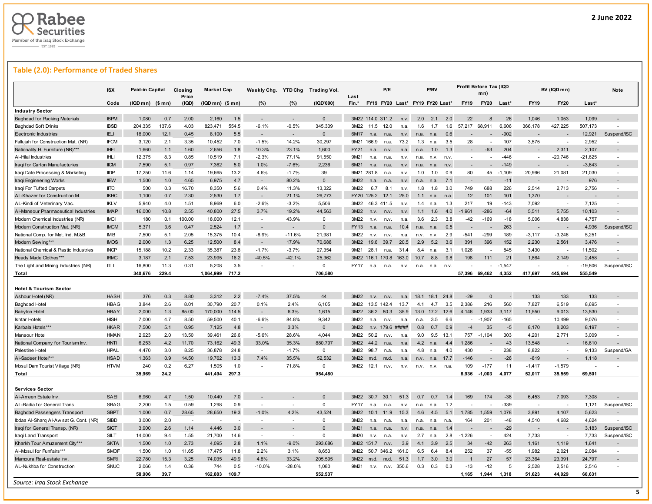

## **Table (2.0): Performance of Traded Shares**

|                                        | <b>ISX</b>  | Paid-in Capital  |       | Closing<br>Price | <b>Market Cap</b> |       | Weekly Chg. YTD Chg      |                          | <b>Trading Vol.</b> | Last        |                  | P/E         |                                 |                | P/BV        |      |                          | Profit Before Tax (IQD<br>mn) |          |                          | BV (IQD mn)              |           | Note           |
|----------------------------------------|-------------|------------------|-------|------------------|-------------------|-------|--------------------------|--------------------------|---------------------|-------------|------------------|-------------|---------------------------------|----------------|-------------|------|--------------------------|-------------------------------|----------|--------------------------|--------------------------|-----------|----------------|
|                                        | Code        | $(IQDmn)$ (\$mn) |       | (IQD)            | $(IQDmn)$ $($mn)$ |       | (%)                      | (%)                      | (IQD'000)           | Fin.*       |                  |             | FY19 FY20 Last* FY19 FY20 Last* |                |             |      | <b>FY19</b>              | <b>FY20</b>                   | Last*    | <b>FY19</b>              | <b>FY20</b>              | Last*     |                |
| <b>Industry Sector</b>                 |             |                  |       |                  |                   |       |                          |                          |                     |             |                  |             |                                 |                |             |      |                          |                               |          |                          |                          |           |                |
| <b>Baghdad for Packing Materials</b>   | <b>IBPM</b> | 1,080            | 0.7   | 2.00             | 2,160             | 1.5   |                          |                          | $\Omega$            |             | 3M22 114.0 311.2 |             | n.v                             | 2.0            | 2.1         | 2.0  | 22                       |                               | 26       | 1,046                    | 1,053                    | 1,099     |                |
| <b>Baghdad Soft Drinks</b>             | <b>IBSD</b> | 204,335          | 137.6 | 4.03             | 823,471           | 554.5 | $-6.1%$                  | $-0.5%$                  | 345,309             | 3M22        | 11.5             | 12.0        | n.a.                            | 1.6            | 1.7         | 1.6  | 57,217                   | 68,911                        | 6,606    | 366,178                  | 427,225                  | 507,173   |                |
| <b>Electronic Industries</b>           | <b>ELI</b>  | 18,000           | 12.1  | 0.45             | 8,100             | 5.5   | $\sim$                   | $\overline{\phantom{a}}$ | $\Omega$            | 6M17        | n.a.             | n.a.        | n.v                             | n.a.           | n.a.        | 0.6  |                          |                               | $-902$   |                          |                          | 12,921    | Suspend/ISC    |
| Fallujah for Construction Mat. (NR)    | <b>IFCM</b> | 3,120            | 2.1   | 3.35             | 10,452            | 7.0   | $-1.5%$                  | 14.2%                    | 30,297              |             | 9M21 166.9       | n.a.        | 73.2                            | 1.3            | n.a.        | 3.5  | 28                       |                               | 107      | 3,575                    |                          | 2,952     |                |
| Nationality H. Furniture (NR)***       | <b>IHFI</b> | 1,660            | 1.1   | 1.60             | 2,656             | 1.8   | 10.3%                    | 23.1%                    | 1,600               | <b>FY21</b> | n.a.             | n.v         | n.a.                            | n.a.           | 1.0         | 1.3  | $\sim$                   | $-63$                         | 204      |                          | 2,311                    | 2,107     |                |
| Al-Hilal Industries                    | <b>IHLI</b> | 12,375           | 8.3   | 0.85             | 10,519            | 7.1   | $-2.3%$                  | 77.1%                    | 91,550              | 9M21        | n.a.             | n.a.        | n.v                             | n.a.           | n.v.        | n.v  | $\overline{\phantom{a}}$ |                               | $-446$   | $\overline{\phantom{a}}$ | $-20,746$                | $-21,625$ |                |
| Iraqi for Carton Manufacturies         | <b>IICM</b> | 7,590            | 5.1   | 0.97             | 7,362             | 5.0   | 1.0%                     | $-7.6%$                  | 2.236               | 6M21        | n.a.             | n.a.        | n.v                             | n.a.           | n.a         | n.v  |                          |                               | $-149$   |                          |                          | $-3,643$  |                |
| Iraqi Date Processing & Marketing      | <b>IIDP</b> | 17,250           | 11.6  | 1.14             | 19,665            | 13.2  | 4.6%                     | $-1.7%$                  | 39                  |             | 9M21 281.8       | n.a.        | n.v                             | 1.0            | 1.0         | 0.9  | 80                       | 45                            | $-1,109$ | 20,996                   | 21,081                   | 21,030    |                |
| Iraqi Engineering Works                | <b>IIEW</b> | 1,500            | 1.0   | 4.65             | 6,975             | 4.7   | $\sim$                   | 80.2%                    | $\mathbf{0}$        | 3M22        |                  |             | n.v                             | n.a.           | n.a         | 7.1  |                          |                               | $-11$    |                          |                          | 976       |                |
| Iraqi For Tufted Carpets               | <b>IITC</b> | 500              | 0.3   | 16.70            | 8,350             | 5.6   | 0.4%                     | 11.3%                    | 13,322              | 3M22        | 6.7              | 8.1         | n.v                             | 1.8            | 1.8         | 3.0  | 749                      | 688                           | 226      | 2,514                    | 2,713                    | 2,756     | $\overline{a}$ |
| AI-Khazer for Construction M.          | <b>IKHC</b> | 1,100            | 0.7   | 2.30             | 2,530             | 1.7   | $\overline{\phantom{a}}$ | 21.1%                    | 26,773              |             | FY20 125.2       | 12.1        | 25.0                            | 1.1            | n.a.        | n.a  | 12                       | 101                           | 101      | 1,370                    |                          |           |                |
| AL-Kindi of Veterinary Vac             | <b>IKLV</b> | 5.940            | 4.0   | 1.51             | 8,969             | 6.0   | $-2.6%$                  | $-3.2%$                  | 5,506               | 3M22        |                  | 46.3 411.5  | n.v                             | 1.4            | n.a         | 1.3  | 217                      | 19                            | $-143$   | 7,092                    |                          | 7,125     |                |
| Al-Mansour Pharmaceutical Industries   | <b>IMAP</b> | 16,000           | 10.8  | 2.55             | 40,800            | 27.5  | 3.7%                     | 19.2%                    | 44,563              | 3M22        | n.v.             | n.v.        | n.v                             | 1.1            | 1.6         | 4.0  | $-1,961$                 | $-286$                        | $-64$    | 5,511                    | 5,755                    | 10,103    |                |
| Modern Chemical Industries (NR)        | <b>IMCI</b> | 180              | 0.1   | 100.00           | 18,000            | 12.1  | $\sim$                   | 43.9%                    | $\mathbf 0$         | 3M22        | n.v.             | n.v.        | n.a                             | 3.6            | 2.3         | 3.8  | $-42$                    | $-169$                        | $-18$    | 5.006                    | 4.838                    | 4.757     |                |
| Modern Construction Mat. (NR)          | <b>IMCM</b> | 5,371            | 3.6   | 0.47             | 2,524             | 1.7   |                          |                          | $\mathbf{0}$        | FY13        | n.a.             | n.a.        | 10.4                            | n.a.           | n.a         | 0.5  |                          |                               | 263      |                          |                          | 4,936     | Suspend/ISC    |
| National Comp. for Met. Ind. M.&B      | <b>IMB</b>  | 7,500            | 5.1   | 2.05             | 15,375            | 10.4  | $-8.9%$                  | $-11.6%$                 | 21,981              | 3M22        | n.v.             | n.v.        | n.a.                            | n.v.           | n.v.        | 2.9  | $-541$                   | $-299$                        | 189      | $-3,117$                 | $-3,246$                 | 5,251     |                |
| Modern Sew ing***                      | <b>IMOS</b> | 2,000            | 1.3   | 6.25             | 12,500            | 8.4   | $\overline{\phantom{a}}$ | 17.9%                    | 70,688              | 3M22        | 19.6             | 39.7        | 20.5                            | 2.9            | 5.2         | 3.6  | 391                      | 396                           | 152      | 2,230                    | 2,561                    | 3,476     |                |
| National Chemical & Plastic Industries | <b>INCP</b> | 15,188           | 10.2  | 2.33             | 35,387            | 23.8  | $-1.7%$                  | $-3.7%$                  | 27,354              | 9M21        | 28.1             | n.a.        | 31.4                            | 8.4            |             | 3.1  | 1,026                    |                               | 845      | 3,430                    |                          | 11,502    |                |
| Ready Made Clothes***                  | <b>IRMC</b> | 3,187            | 2.1   | 7.53             | 23.995            | 16.2  | $-40.5%$                 | $-42.1%$                 | 25.362              |             | 3M22 116.1 170.8 |             | 163.0                           | 10.7           | n.a.<br>8.8 | 9.8  | 198                      | 111                           | 21       | 1.864                    | 2,149                    | 2,458     |                |
|                                        | ITLI        |                  |       | 0.31             | 5,208             | 3.5   | ÷                        |                          | 0                   | <b>FY17</b> |                  |             |                                 |                |             |      |                          |                               | $-1,547$ |                          |                          |           |                |
| The Light and Mining Industries (NR)   |             | 16,800           | 11.3  |                  |                   |       |                          |                          |                     |             | n.a.             | n.a.        | n.v.                            | n.a.           | n.a.        | n.v  |                          |                               |          |                          |                          | $-19,806$ | Suspend/ISC    |
| Total                                  |             | 340,676          | 229.4 |                  | 1,064,999         | 717.2 |                          |                          | 706,580             |             |                  |             |                                 |                |             |      | 57,396 69,462            |                               | 4,352    | 417,697                  | 445,694                  | 555,549   |                |
|                                        |             |                  |       |                  |                   |       |                          |                          |                     |             |                  |             |                                 |                |             |      |                          |                               |          |                          |                          |           |                |
| <b>Hotel &amp; Tourism Sector</b>      |             |                  |       |                  |                   |       |                          |                          |                     |             |                  |             |                                 |                |             |      |                          |                               |          |                          |                          |           |                |
| Ashour Hotel (NR)                      | <b>HASH</b> | 376              | 0.3   | 8.80             | 3,312             | 2.2   | $-7.4%$                  | 37.5%                    | 44                  | 3M22        | n.v.             | n.v         | n.a.                            | 18.1           | 18.1        | 24.8 | $-29$                    | $\Omega$                      |          | 133                      | 133                      | 133       |                |
| <b>Baghdad Hotel</b>                   | <b>HBAG</b> | 3,844            | 2.6   | 8.01             | 30,790            | 20.7  | 0.1%                     | 2.4%                     | 6,105               | 3M22        | 13.5 142.4       |             | 13.7                            | 4 <sub>1</sub> | 4.7         | 3.5  | 2,386                    | 216                           | 560      | 7,827                    | 6,519                    | 8,695     |                |
| <b>Babylon Hotel</b>                   | <b>HBAY</b> | 2,000            | 1.3   | 85.00            | 170,000           | 114.5 | $\overline{\phantom{a}}$ | 6.3%                     | 1,615               | 3M22        | 36.2             | 80.3        | 35.9                            | 13.0           | 17.2        | 12.6 | 4,146                    | 1,933                         | 3,117    | 11,550                   | 9,013                    | 13,530    |                |
| <b>Ishtar Hotels</b>                   | <b>HISH</b> | 7,000            | 4.7   | 8.50             | 59,500            | 40.1  | $-6.6%$                  | 84.8%                    | 9,342               | 3M22        | n.a.             | n.v.        | n.a                             | n.a.           | 3.5         | 6.6  | $\sim$                   | $-1.907$                      | $-165$   | $\overline{\phantom{a}}$ | 10,499                   | 9,076     | $\blacksquare$ |
| Karbala Hotels***                      | <b>HKAR</b> | 7,500            | 5.1   | 0.95             | 7,125             | 4.8   |                          | 3.3%                     | $\Omega$            | 3M22        | n.v.             | 179.6 ##### |                                 | 0.8            | 0.7         | 0.9  | $-4$                     | 35                            | $-5$     | 8,170                    | 8,203                    | 8,197     |                |
| Mansour Hotel                          | <b>HMAN</b> | 2,923            | 2.0   | 13.50            | 39,461            | 26.6  | $-5.6%$                  | 28.6%                    | 4,044               | 3M22        | 50.2             | n.v.        | n.a                             | 9.0            | 9.5         | 13.1 | 757                      | $-1,104$                      | 303      | 4,201                    | 2,771                    | 3,009     |                |
| National Company for Tourism Inv       | <b>HNTI</b> | 6.253            | 4.2   | 11.70            | 73,162            | 49.3  | 33.0%                    | 35.3%                    | 880.797             | 3M22        | 44.2             | n a         | n.a                             | 4.2            | n.a.        | 4.4  | 1.286                    |                               | 43       | 13.548                   |                          | 16.610    |                |
| Palestine Hotel                        | <b>HPAL</b> | 4,470            | 3.0   | 8.25             | 36,878            | 24.8  | $\sim$                   | $-1.7%$                  | $\mathbf 0$         | 3M22        | 98.7             | n.a.        | n.a                             | 4.8            | n.a.        | 4.0  | 430                      | $\mathbf{r}$                  | 238      | 8,822                    | $\overline{a}$           | 9,133     | Suspend/GA     |
| Al-Sadeer Hotel***                     | <b>HSAD</b> | 1,363            | 0.9   | 14.50            | 19,762            | 13.3  | 7.4%                     | 35.5%                    | 52.532              | 3M22        | m.d.             | m.d.        | n.a.                            | n.v.           | n.a.        | 17.7 | $-146$                   |                               | $-26$    | $-819$                   |                          | 1,118     |                |
| Mosul Dam Tourist Village (NR)         | <b>HTVM</b> | 240              | 0.2   | 6.27             | 1,505             | 1.0   | ÷,                       | 71.8%                    | 0                   | 3M22        | 12.1             | n.v.        | n.v.                            | n.v.           | n.v.        | n.a. | 109                      | $-177$                        | 11       | $-1,417$                 | $-1,579$                 |           |                |
| <b>Total</b>                           |             | 35,969           | 24.2  |                  | 441,494           | 297.3 |                          |                          | 954,480             |             |                  |             |                                 |                |             |      | 8,936                    | $-1,003$                      | 4,077    | 52,017                   | 35,559                   | 69,501    |                |
|                                        |             |                  |       |                  |                   |       |                          |                          |                     |             |                  |             |                                 |                |             |      |                          |                               |          |                          |                          |           |                |
| <b>Services Sector</b>                 |             |                  |       |                  |                   |       |                          |                          |                     |             |                  |             |                                 |                |             |      |                          |                               |          |                          |                          |           |                |
| Al-Ameen Estate Inv                    | SAEI        | 6,960            | 4.7   | 1.50             | 10.440            | 7.0   |                          |                          | $\Omega$            | 3M22        | 30.7             | 30.1        | 51.3                            | 0.7            | 07          | 1.4  | 169                      | 174                           | $-38$    | 6,453                    | 7,093                    | 7,308     |                |
| AL-Badia for General Trans             | <b>SBAG</b> | 2,200            | 1.5   | 0.59             | 1,298             | 0.9   | ÷,                       |                          | $\mathbf 0$         | <b>FY17</b> | n.a.             | n.a.        | n.v.                            | n.a.           | n.a.        | 1.2  |                          |                               | $-339$   | $\overline{\phantom{a}}$ |                          | 1,121     | Suspend/ISC    |
| <b>Baghdad Passengers Transport</b>    | <b>SBPT</b> | 1,000            | 0.7   | 28.65            | 28,650            | 19.3  | $-1.0%$                  | 4.2%                     | 43,524              | 3M22        | 10 <sub>1</sub>  | 11.9        | 15.3                            | 4.6            | 4.5         | 5.1  | 1,785                    | 1,559                         | 1,078    | 3,891                    | 4,107                    | 5,623     |                |
| Ibdaa Al-Sharq Al-Aw sat G. Cont. (NR) | <b>SIBD</b> | 3.000            | 2.0   |                  |                   |       |                          |                          | $\Omega$            | 3M22        | n.a.             | n.a.        | n.a.                            | n.a.           | n.a.        | n.a  | 164                      | 201                           | $-48$    | 4,510                    | 4,682                    | 4.624     |                |
| Iraqi for General Transp. (NR)         | <b>SIGT</b> | 3,900            | 2.6   | 1.14             | 4,446             | 3.0   | $\overline{\phantom{a}}$ |                          | $\Omega$            | 3M21        | n.a.             |             | n.v                             | n.a            | n.a         | 1.4  |                          |                               | $-29$    |                          |                          | 3,183     | Suspend/ISC    |
| Iraqi Land Transport                   | SILT        | 14,000           | 9.4   | 1.55             | 21,700            | 14.6  | i.                       | - 1                      | $\mathbf 0$         | 3M20        | n.v.             | n.a.        | n.v                             | 2.7            | n.a.        | 2.8  | $-1,226$                 |                               | 424      | 7,733                    | $\overline{\phantom{a}}$ | 7,733     | Suspend/ISC    |
| Kharkh Tour Amuzement City***          | <b>SKTA</b> | 1,500            | 1.0   | 2.73             | 4,095             | 2.8   | 1.1%                     | $-9.0%$                  | 293,686             |             | 3M22 151.7       | n.v         | 3.9                             | 4.1            | 3.9         | 2.5  | 34                       | $-42$                         | 263      | 1,161                    | 1,119                    | 1,641     |                |
| Al-Mosul for Funfairs***               | <b>SMOF</b> | 1,500            | 1.0   | 11.65            | 17.475            | 11.8  | 2.2%                     | 3.1%                     | 8,653               | 3M22        |                  | 50.7 346.2  | 161.0                           | 6.5            | 6.4         | 8.4  | 252                      | 37                            | $-55$    | 1,982                    | 2.021                    | 2.084     |                |
| Mamoura Real-estate Inv                | <b>SMRI</b> | 22,780           | 15.3  | 3.25             | 74,035            | 49.9  | 4.8%                     | 33.2%                    | 205,595             | 3M22        | m.d.             | m.d.        | 51.3                            | 1.7            | 3.0         | 3.0  | $\overline{\mathbf{1}}$  | 27                            | 57       | 23,364                   | 23,391                   | 24,797    |                |
| AL-Nukhba for Construction             | SNUC        | 2,066            | 1.4   | 0.36             | 744               | 0.5   | $-10.0%$                 | $-28.0%$                 | 1,080               | 9M21        | n.v.             | n.v.        | 350.6                           | 0.3            | 0.3         | 0.3  | $-13$                    | $-12$                         | 5        | 2,528                    | 2,516                    | 2,516     |                |
|                                        |             |                  |       |                  | 162,883           | 109.7 |                          |                          |                     |             |                  |             |                                 |                |             |      | 1,165                    | 1,944                         | 1,318    | 51,623                   | 44,929                   | 60,631    |                |
|                                        |             | 58,906           | 39.7  |                  |                   |       |                          |                          | 552,537             |             |                  |             |                                 |                |             |      |                          |                               |          |                          |                          |           |                |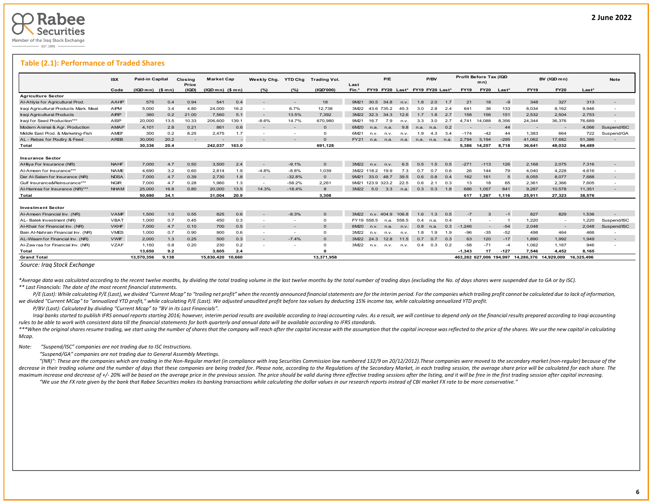### **Table (2.1): Performance of Traded Shares**

|                                        | <b>ISX</b>  | <b>Paid-in Capital</b> |       | Closina<br>Price | <b>Market Cap</b> |        | Weekly Chg.       | <b>YTD Chg</b>           | Trading Vol.   | Last             |                  | P/E        |                                 |      | P/BV           |     |                         | Profit Before Tax (IQD<br>mn) |        |             | BV (IQD mn)              |            | <b>Note</b>              |
|----------------------------------------|-------------|------------------------|-------|------------------|-------------------|--------|-------------------|--------------------------|----------------|------------------|------------------|------------|---------------------------------|------|----------------|-----|-------------------------|-------------------------------|--------|-------------|--------------------------|------------|--------------------------|
|                                        | Code        | $(IQDmn)$ (\$mn)       |       | (IQD)            | $(IQDmn)$ (\$mn)  |        | (%)               | (%)                      | (1QD'000)      | Fin.*            |                  |            | FY19 FY20 Last* FY19 FY20 Last* |      |                |     | <b>FY19</b>             | <b>FY20</b>                   | Last*  | <b>FY19</b> | <b>FY20</b>              | $Last*$    |                          |
| <b>Agriculture Sector</b>              |             |                        |       |                  |                   |        |                   |                          |                |                  |                  |            |                                 |      |                |     |                         |                               |        |             |                          |            |                          |
| Al-Ahlyia for Agricultural Prod.       | <b>AAHP</b> | 575                    | 0.4   | 0.94             | 541               | 0.4    |                   |                          | 18             | 9M21             | 30.5             | 34.8       | n.v.                            | 1.8  | 2.0            | 1.7 | 21                      | 18                            | $-9$   | 348         | 327                      | 313        | $\overline{a}$           |
| Iraqi Agricultural Products Mark. Meat | AIPM        | 5,000                  | 3.4   | 4.80             | 24,000            | 16.2   | $\overline{a}$    | 6.7%                     | 12,738         | 3M22             |                  | 43.6 735.2 | 45.3                            | 3.0  | 2.8            | 2.4 | 641                     | 36                            | 133    | 8.034       | 8,162                    | 9.946      | $\overline{a}$           |
| Iraqi Agricultural Products            | <b>AIRP</b> | 360                    | 0.2   | 21.00            | 7.560             | 5.1    |                   | 13.5%                    | 7.392          | 3M22             | 32.3             | 34.3       | 12.6                            | 1.7  | 1.8            | 2.7 | 158                     | 156                           | 151    | 2,532       | 2,504                    | 2.753      | $\overline{\phantom{a}}$ |
| Iraqi for Seed Production***           | AISP        | 20,000                 | 13.5  | 10.33            | 206,600           | 139.1  | $-8.6%$           | 14.7%                    | 670.980        | 9M21             | 16.7             | 7.9        | n.v.                            | 3.3  | 3.0            | 2.7 | 4.741                   | 14.088                        | 8.356  | 24,344      | 36,376                   | 76,689     |                          |
| Modern Animal & Agr. Production        | <b>AMAP</b> | 4.101                  | 2.8   | 0.21             | 861               | 0.6    |                   | $\overline{a}$           | $\Omega$       | 6M20             | n.a.             | n.a.       | 9.8                             | n.a. | n.a.           | 0.2 |                         |                               | 44     |             | $\overline{\phantom{a}}$ | 4.066      | Suspend/ISC              |
| Middle East Prod, & Marketing-Fish     | <b>AMEF</b> | 300                    | 0.2   | 8.25             | 2.475             | 1.7    |                   | $\overline{\phantom{a}}$ | $\Omega$       | 6M21             | n.v.             | n.v.       | n.v.                            | 1.9  | 4.3            | 3.4 | $-174$                  | $-42$                         | 44     | 1.383       | 664                      | 722        | Suspend/GA               |
| AL - Rebas for Poultry & Feed          | <b>AREB</b> | 30,000                 | 20.2  | $\sim$           |                   |        |                   |                          | $\Omega$       | FY21             | n.a.             | n.a.       | n.a.                            |      | n.a. n.a. n.a. |     | 2.794                   | 3.194                         | $-295$ | 41,062      | 17,682                   | 51,386     |                          |
| Total                                  |             | 30.336                 | 20.4  |                  | 242.037           | 163.0  |                   |                          | 691.128        |                  |                  |            |                                 |      |                |     |                         | 5.386 14.257                  | 8.718  | 36.641      | 48.032                   | 94.489     |                          |
| <b>Insurance Sector</b>                |             |                        |       |                  |                   |        |                   |                          |                |                  |                  |            |                                 |      |                |     |                         |                               |        |             |                          |            |                          |
| AHliya For Insurance (NR)              | <b>NAHF</b> | 7,000                  | 4.7   | 0.50             | 3,500             | 2.4    | $\sim$            | $-9.1%$                  | $\Omega$       | 3M22             | n.v.             | n.v.       | 6.5                             | 0.5  | .5             | 0.5 | $-271$                  | $-113$                        | 126    | 2,168       | 2,075                    | 7,316      |                          |
| Al-Ameen for Insurance***              | <b>NAME</b> | 4,690                  | 3.2   | 0.60             | 2,814             | 1.9    | $-4.8%$           | $-8.8%$                  | 1,039          |                  | 3M22 118.2       | 19.9       | 7.3                             | 0.7  | 0.7            | 0.6 | 26                      | 144                           | 79     | 4.040       | 4,228                    | 4,616      | $\sim$                   |
| Dar Al-Salam for Insurance (NR)        | <b>NDSA</b> | 7.000                  | 4.7   | 0.39             | 2.730             | 1.8    | $\qquad \qquad -$ | $-32.8%$                 | $\overline{0}$ | 9M <sub>21</sub> | 33.0             | 48.7       | 39.5                            | 0.6  | 0.8            | 0.4 | 162                     | 161                           | -5     | 8,055       | 8.077                    | 7.688      | $\sim$                   |
| Gulf Insurance&Reinsurance***          | <b>NGIR</b> | 7.000                  | 4.7   | 0.28             | 1.960             | 1.3    | $\overline{a}$    | $-58.2%$                 | 2.261          |                  | 9M21 123.9 323.2 |            | 22.5                            | 0.6  | 2.1            | 0.3 | 13                      | 18                            | 65     | 2,361       | 2,366                    | 7.605      |                          |
| Al-Hamraa for Insurance (NR)***        | <b>NHAM</b> | 25,000                 | 16.8  | 0.80             | 20,000            | 13.5   | 14.3%             | $-18.4%$                 | 8              | 3M22             | 5.0              | 3.3        | n.a.                            | 0.3  | 0.3            | 1.8 | 686                     | 1.057                         | 841    | 9,287       | 10,578                   | 11.351     |                          |
| Total                                  |             | 50.690                 | 34.1  |                  | 31.004            | 20.9   |                   |                          | 3.308          |                  |                  |            |                                 |      |                |     | 617                     | 1.267                         | 1.116  | 25.911      | 27.323                   | 38.576     |                          |
| <b>Investment Sector</b>               |             |                        |       |                  |                   |        |                   |                          |                |                  |                  |            |                                 |      |                |     |                         |                               |        |             |                          |            |                          |
| Al-Ameen Financial Inv. (NR)           | <b>VAMF</b> | 1,500                  | 1.0   | 0.55             | 825               | 0.6    | $\sim$            | $-8.3%$                  | $\Omega$       | 3M22             |                  | n.v. 404.9 | 106.8                           | 1.6  | 1.3            | 0.5 | $-7$                    | $\mathbf{3}$                  | $-1$   | 827         | 829                      | 1,536      |                          |
| AL-Batek Investment (NR)               | <b>VBAT</b> | 1.000                  | 0.7   | 0.45             | 450               | 0.3    |                   | $\sim$                   | $\Omega$       | FY19 558.5       |                  | n.a.       | 558.5                           | 0.4  | n.a.           | 0.4 |                         |                               |        | 1.220       | $\sim$                   | 1.220      | Suspend/ISC              |
| Al-Khair for Financial Inv. (NR)       | <b>VKHF</b> | 7,000                  | 4.7   | 0.10             | 700               | 0.5    |                   |                          | $\Omega$       | 6M20             | n.v.             | n.a.       | n.v.                            | 0.8  | n.a.           | 0.3 | $-1.246$                |                               | $-54$  | 2,048       | $\sim$                   | 2.048      | Suspend/ISC              |
| Bain Al-Nahrain Financial Inv. (NR)    | <b>VMES</b> | 1.000                  | 0.7   | 0.90             | 900               | 0.6    |                   | $\sim$                   | $\mathbf{0}$   | 3M22             | n.v.             | n.v.       | n.v.                            | 1.8  | l.9            | 1.9 | $-96$                   | $-35$                         | $-52$  | 498         | 464                      | 466        |                          |
| AL-Wiaam for Financial Inv. (NR)       | <b>VWIF</b> | 2,000                  | 1.3   | 0.25             | 500               | 0.3    |                   | $-7.4%$                  | $\Omega$       | 3M22             | 24.3             | 12.8       | 11.5                            | 0.7  | 0.7            | 0.3 | 63                      | 120                           | $-17$  | 1,890       | 1,992                    | 1.949      | $\overline{a}$           |
| Al-Zaw raa for Financial Inv. (NR)     | <b>VZAF</b> | 1.150                  | 0.8   | 0.20             | 230               | 0.2    |                   | $\overline{\phantom{a}}$ | $\Omega$       | 3M22             | n.v.             | n.v.       | n.v.                            | 0.4  | 0.3            | 0.2 | $-58$                   | $-71$                         | $-4$   | 1,062       | 1,167                    | 946        |                          |
| Total                                  |             | 13.650                 | 9.2   |                  | 3.605             | 2.4    |                   |                          | $\sqrt{2}$     |                  |                  |            |                                 |      |                |     | $-1.343$                | 17                            | $-127$ | 7.546       | 4.452                    | 8.165      |                          |
| <b>Grand Total</b>                     |             | 13,570,356             | 9.138 |                  | 15.830.420        | 10.660 |                   |                          | 13.371.958     |                  |                  |            |                                 |      |                |     | 463,282 627,006 194,997 |                               |        | 14,286,376  | 14.929.009               | 16.325.496 |                          |

*Source: Iraq Stock Exchange*

\*Average data was calculated according to the recent twelve months, by dividing the total trading volume in the last twelve months by the total number of trading days (excluding the No. of days shares were suspended due to *\*\* Last Financials: The date of the most recent financial statements.* 

P/E (Last): While calculating P/E (Last), we divided "Current Mcap" to "trailing net profit" when the recently announced financial statements are for the interim period. For the companies which trailing profit cannot be ca *we divided "Current MCap" to "annualized YTD profit," while calculating P/E (Last). We adjusted unaudited profit before tax values by deducting 15% income tax, while calculating annualized YTD profit.*

 *P/BV (Last): Calculated by dividing "Current Mcap" to "BV in its Last Financials".*

Iraqi banks started to publish IFRS annual reports starting 2016; however, interim period results are available according to Iraqi accounting rules. As a result, we will continue to depend only on the financial results pre *rules to be able to work with consistent data till the financial statements for both quarterly and annual data will be available according to IFRS standards.* 

\*\*\*When the original shares resume trading, we start using the number of shares that the company will reach after the capital increase with the assumption that the capital increase was reflected to the price of the shares. *Mcap.*

*Note: "Suspend/ISC" companies are not trading due to ISC Instructions.*

 *"Suspend/GA" companies are not trading due to General Assembly Meetings.*

"(NR)": These are the companies which are trading in the Non-Reaular market (in compliance with Irga Securities Commission law numbered 132/9 on 20/12/2012). These companies were moved to the secondary market (non-reaular) decrease in their trading volume and the number of days that these companies are being traded for. Please note, according to the Regulations of the Secondary Market, in each trading session, the average share price will be maximum increase and decrease of +/- 20% will be based on the average price in the previous session. The price should be valid during three effective trading sessions after the listing, and it will be free in the first tra "We use the FX rate given by the bank that Rabee Securities makes its banking transactions while calculating the dollar values in our research reports instead of CBI market FX rate to be more conservative."

L